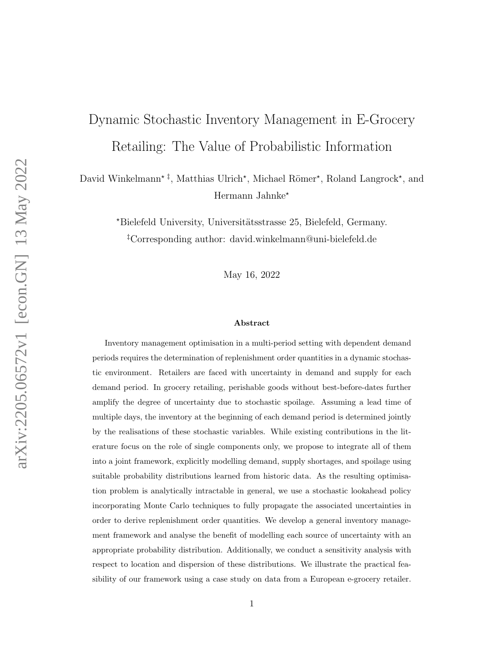# Dynamic Stochastic Inventory Management in E-Grocery Retailing: The Value of Probabilistic Information

David Winkelmann<sup>\* ‡</sup>, Matthias Ulrich<sup>\*</sup>, Michael Römer<sup>\*</sup>, Roland Langrock<sup>\*</sup>, and Hermann Jahnke?

> \*Bielefeld University, Universitätsstrasse 25, Bielefeld, Germany. ‡Corresponding author: david.winkelmann@uni-bielefeld.de

> > May 16, 2022

#### Abstract

Inventory management optimisation in a multi-period setting with dependent demand periods requires the determination of replenishment order quantities in a dynamic stochastic environment. Retailers are faced with uncertainty in demand and supply for each demand period. In grocery retailing, perishable goods without best-before-dates further amplify the degree of uncertainty due to stochastic spoilage. Assuming a lead time of multiple days, the inventory at the beginning of each demand period is determined jointly by the realisations of these stochastic variables. While existing contributions in the literature focus on the role of single components only, we propose to integrate all of them into a joint framework, explicitly modelling demand, supply shortages, and spoilage using suitable probability distributions learned from historic data. As the resulting optimisation problem is analytically intractable in general, we use a stochastic lookahead policy incorporating Monte Carlo techniques to fully propagate the associated uncertainties in order to derive replenishment order quantities. We develop a general inventory management framework and analyse the benefit of modelling each source of uncertainty with an appropriate probability distribution. Additionally, we conduct a sensitivity analysis with respect to location and dispersion of these distributions. We illustrate the practical feasibility of our framework using a case study on data from a European e-grocery retailer.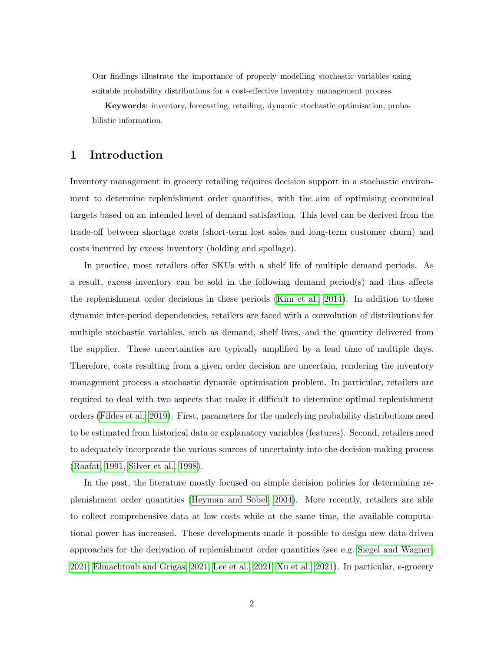Our findings illustrate the importance of properly modelling stochastic variables using suitable probability distributions for a cost-effective inventory management process.

Keywords: inventory, forecasting, retailing, dynamic stochastic optimisation, probabilistic information.

## 1 Introduction

Inventory management in grocery retailing requires decision support in a stochastic environment to determine replenishment order quantities, with the aim of optimising economical targets based on an intended level of demand satisfaction. This level can be derived from the trade-off between shortage costs (short-term lost sales and long-term customer churn) and costs incurred by excess inventory (holding and spoilage).

In practice, most retailers offer SKUs with a shelf life of multiple demand periods. As a result, excess inventory can be sold in the following demand period(s) and thus affects the replenishment order decisions in these periods [\(Kim et al., 2014\)](#page-28-0). In addition to these dynamic inter-period dependencies, retailers are faced with a convolution of distributions for multiple stochastic variables, such as demand, shelf lives, and the quantity delivered from the supplier. These uncertainties are typically amplified by a lead time of multiple days. Therefore, costs resulting from a given order decision are uncertain, rendering the inventory management process a stochastic dynamic optimisation problem. In particular, retailers are required to deal with two aspects that make it difficult to determine optimal replenishment orders [\(Fildes et al., 2019\)](#page-28-1). First, parameters for the underlying probability distributions need to be estimated from historical data or explanatory variables (features). Second, retailers need to adequately incorporate the various sources of uncertainty into the decision-making process [\(Raafat, 1991,](#page-29-0) [Silver et al., 1998\)](#page-29-1).

In the past, the literature mostly focused on simple decision policies for determining replenishment order quantities [\(Heyman and Sobel, 2004\)](#page-28-2). More recently, retailers are able to collect comprehensive data at low costs while at the same time, the available computational power has increased. These developments made it possible to design new data-driven approaches for the derivation of replenishment order quantities (see e.g. [Siegel and Wagner,](#page-29-2) [2021;](#page-29-2) [Elmachtoub and Grigas, 2021;](#page-28-3) [Lee et al., 2021;](#page-28-4) [Xu et al., 2021\)](#page-30-0). In particular, e-grocery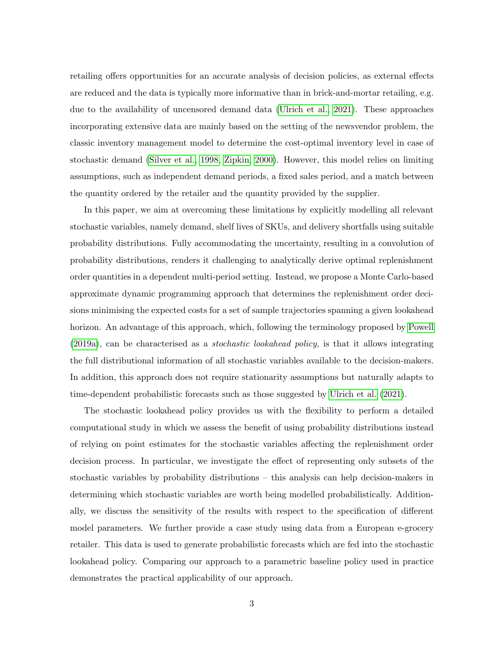retailing offers opportunities for an accurate analysis of decision policies, as external effects are reduced and the data is typically more informative than in brick-and-mortar retailing, e.g. due to the availability of uncensored demand data [\(Ulrich et al., 2021\)](#page-29-3). These approaches incorporating extensive data are mainly based on the setting of the newsvendor problem, the classic inventory management model to determine the cost-optimal inventory level in case of stochastic demand [\(Silver et al., 1998,](#page-29-1) [Zipkin, 2000\)](#page-30-1). However, this model relies on limiting assumptions, such as independent demand periods, a fixed sales period, and a match between the quantity ordered by the retailer and the quantity provided by the supplier.

In this paper, we aim at overcoming these limitations by explicitly modelling all relevant stochastic variables, namely demand, shelf lives of SKUs, and delivery shortfalls using suitable probability distributions. Fully accommodating the uncertainty, resulting in a convolution of probability distributions, renders it challenging to analytically derive optimal replenishment order quantities in a dependent multi-period setting. Instead, we propose a Monte Carlo-based approximate dynamic programming approach that determines the replenishment order decisions minimising the expected costs for a set of sample trajectories spanning a given lookahead horizon. An advantage of this approach, which, following the terminology proposed by [Powell](#page-29-4) [\(2019a\)](#page-29-4), can be characterised as a stochastic lookahead policy, is that it allows integrating the full distributional information of all stochastic variables available to the decision-makers. In addition, this approach does not require stationarity assumptions but naturally adapts to time-dependent probabilistic forecasts such as those suggested by [Ulrich et al.](#page-29-3) [\(2021\)](#page-29-3).

The stochastic lookahead policy provides us with the flexibility to perform a detailed computational study in which we assess the benefit of using probability distributions instead of relying on point estimates for the stochastic variables affecting the replenishment order decision process. In particular, we investigate the effect of representing only subsets of the stochastic variables by probability distributions – this analysis can help decision-makers in determining which stochastic variables are worth being modelled probabilistically. Additionally, we discuss the sensitivity of the results with respect to the specification of different model parameters. We further provide a case study using data from a European e-grocery retailer. This data is used to generate probabilistic forecasts which are fed into the stochastic lookahead policy. Comparing our approach to a parametric baseline policy used in practice demonstrates the practical applicability of our approach.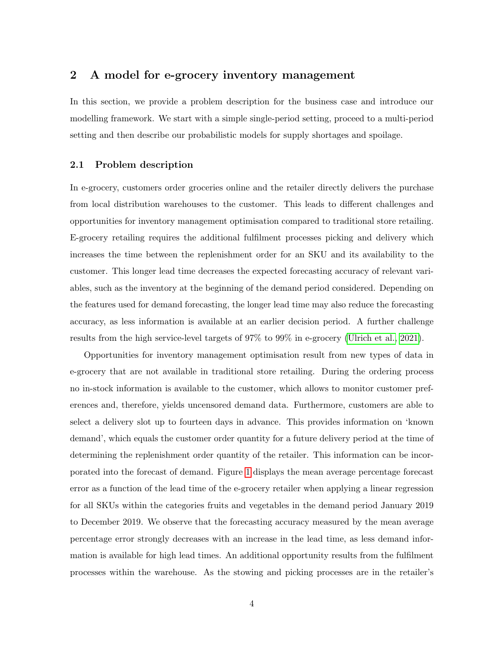## <span id="page-3-0"></span>2 A model for e-grocery inventory management

In this section, we provide a problem description for the business case and introduce our modelling framework. We start with a simple single-period setting, proceed to a multi-period setting and then describe our probabilistic models for supply shortages and spoilage.

## <span id="page-3-1"></span>2.1 Problem description

In e-grocery, customers order groceries online and the retailer directly delivers the purchase from local distribution warehouses to the customer. This leads to different challenges and opportunities for inventory management optimisation compared to traditional store retailing. E-grocery retailing requires the additional fulfilment processes picking and delivery which increases the time between the replenishment order for an SKU and its availability to the customer. This longer lead time decreases the expected forecasting accuracy of relevant variables, such as the inventory at the beginning of the demand period considered. Depending on the features used for demand forecasting, the longer lead time may also reduce the forecasting accuracy, as less information is available at an earlier decision period. A further challenge results from the high service-level targets of 97% to 99% in e-grocery [\(Ulrich et al., 2021\)](#page-29-3).

Opportunities for inventory management optimisation result from new types of data in e-grocery that are not available in traditional store retailing. During the ordering process no in-stock information is available to the customer, which allows to monitor customer preferences and, therefore, yields uncensored demand data. Furthermore, customers are able to select a delivery slot up to fourteen days in advance. This provides information on 'known demand', which equals the customer order quantity for a future delivery period at the time of determining the replenishment order quantity of the retailer. This information can be incorporated into the forecast of demand. Figure [1](#page-4-0) displays the mean average percentage forecast error as a function of the lead time of the e-grocery retailer when applying a linear regression for all SKUs within the categories fruits and vegetables in the demand period January 2019 to December 2019. We observe that the forecasting accuracy measured by the mean average percentage error strongly decreases with an increase in the lead time, as less demand information is available for high lead times. An additional opportunity results from the fulfilment processes within the warehouse. As the stowing and picking processes are in the retailer's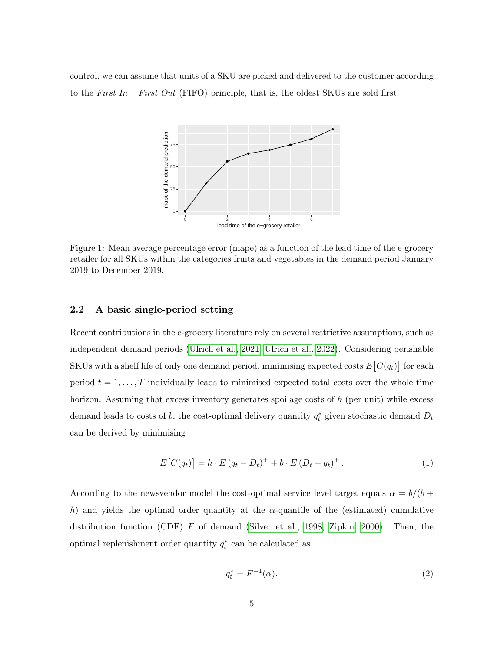control, we can assume that units of a SKU are picked and delivered to the customer according to the First In – First Out (FIFO) principle, that is, the oldest SKUs are sold first.



<span id="page-4-0"></span>Figure 1: Mean average percentage error (mape) as a function of the lead time of the e-grocery retailer for all SKUs within the categories fruits and vegetables in the demand period January 2019 to December 2019.

## 2.2 A basic single-period setting

Recent contributions in the e-grocery literature rely on several restrictive assumptions, such as independent demand periods [\(Ulrich et al., 2021,](#page-29-3) [Ulrich et al., 2022\)](#page-30-2). Considering perishable SKUs with a shelf life of only one demand period, minimising expected costs  $E[C(q_t)]$  for each period  $t = 1, \ldots, T$  individually leads to minimised expected total costs over the whole time horizon. Assuming that excess inventory generates spoilage costs of h (per unit) while excess demand leads to costs of b, the cost-optimal delivery quantity  $q_t^*$  given stochastic demand  $D_t$ can be derived by minimising

$$
E[C(q_t)] = h \cdot E(q_t - D_t)^{+} + b \cdot E(D_t - q_t)^{+}.
$$
 (1)

According to the newsvendor model the cost-optimal service level target equals  $\alpha = b/(b +$ h) and yields the optimal order quantity at the  $\alpha$ -quantile of the (estimated) cumulative distribution function (CDF)  $F$  of demand [\(Silver et al., 1998,](#page-29-1) [Zipkin, 2000\)](#page-30-1). Then, the optimal replenishment order quantity  $q_t^*$  can be calculated as

$$
q_t^* = F^{-1}(\alpha). \tag{2}
$$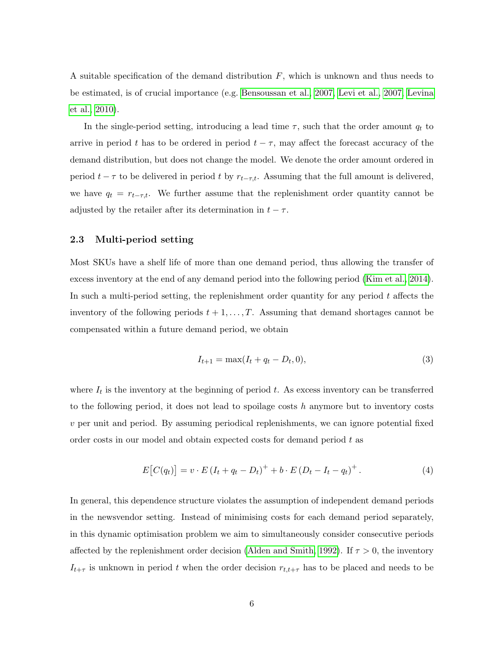A suitable specification of the demand distribution  $F$ , which is unknown and thus needs to be estimated, is of crucial importance (e.g. [Bensoussan et al., 2007,](#page-27-0) [Levi et al., 2007,](#page-28-5) [Levina](#page-28-6) [et al., 2010\)](#page-28-6).

In the single-period setting, introducing a lead time  $\tau$ , such that the order amount  $q_t$  to arrive in period t has to be ordered in period  $t - \tau$ , may affect the forecast accuracy of the demand distribution, but does not change the model. We denote the order amount ordered in period  $t - \tau$  to be delivered in period t by  $r_{t-\tau,t}$ . Assuming that the full amount is delivered, we have  $q_t = r_{t-\tau,t}$ . We further assume that the replenishment order quantity cannot be adjusted by the retailer after its determination in  $t - \tau$ .

## 2.3 Multi-period setting

Most SKUs have a shelf life of more than one demand period, thus allowing the transfer of excess inventory at the end of any demand period into the following period [\(Kim et al., 2014\)](#page-28-0). In such a multi-period setting, the replenishment order quantity for any period  $t$  affects the inventory of the following periods  $t + 1, \ldots, T$ . Assuming that demand shortages cannot be compensated within a future demand period, we obtain

$$
I_{t+1} = \max(I_t + q_t - D_t, 0),
$$
\n(3)

where  $I_t$  is the inventory at the beginning of period t. As excess inventory can be transferred to the following period, it does not lead to spoilage costs  $h$  anymore but to inventory costs v per unit and period. By assuming periodical replenishments, we can ignore potential fixed order costs in our model and obtain expected costs for demand period t as

$$
E[C(q_t)] = v \cdot E(I_t + q_t - D_t)^+ + b \cdot E(D_t - I_t - q_t)^+.
$$
\n(4)

In general, this dependence structure violates the assumption of independent demand periods in the newsvendor setting. Instead of minimising costs for each demand period separately, in this dynamic optimisation problem we aim to simultaneously consider consecutive periods affected by the replenishment order decision [\(Alden and Smith, 1992\)](#page-27-1). If  $\tau > 0$ , the inventory  $I_{t+\tau}$  is unknown in period t when the order decision  $r_{t,t+\tau}$  has to be placed and needs to be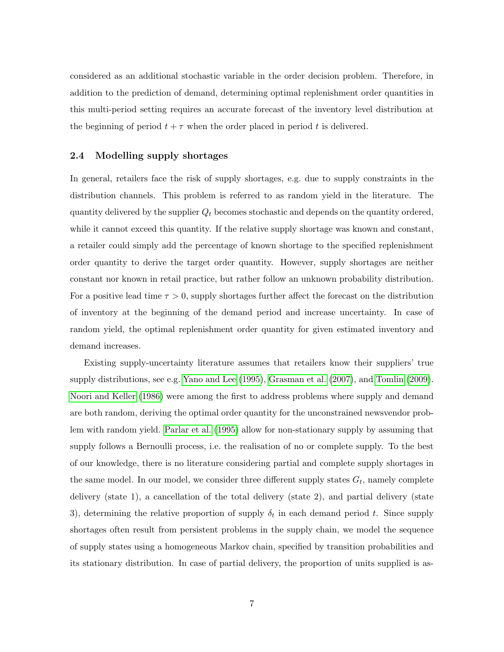considered as an additional stochastic variable in the order decision problem. Therefore, in addition to the prediction of demand, determining optimal replenishment order quantities in this multi-period setting requires an accurate forecast of the inventory level distribution at the beginning of period  $t + \tau$  when the order placed in period t is delivered.

## <span id="page-6-0"></span>2.4 Modelling supply shortages

In general, retailers face the risk of supply shortages, e.g. due to supply constraints in the distribution channels. This problem is referred to as random yield in the literature. The quantity delivered by the supplier  $Q_t$  becomes stochastic and depends on the quantity ordered, while it cannot exceed this quantity. If the relative supply shortage was known and constant, a retailer could simply add the percentage of known shortage to the specified replenishment order quantity to derive the target order quantity. However, supply shortages are neither constant nor known in retail practice, but rather follow an unknown probability distribution. For a positive lead time  $\tau > 0$ , supply shortages further affect the forecast on the distribution of inventory at the beginning of the demand period and increase uncertainty. In case of random yield, the optimal replenishment order quantity for given estimated inventory and demand increases.

Existing supply-uncertainty literature assumes that retailers know their suppliers' true supply distributions, see e.g. [Yano and Lee](#page-30-3) [\(1995\)](#page-30-3), [Grasman et al.](#page-28-7) [\(2007\)](#page-28-7), and [Tomlin](#page-29-5) [\(2009\)](#page-29-5). [Noori and Keller](#page-29-6) [\(1986\)](#page-29-6) were among the first to address problems where supply and demand are both random, deriving the optimal order quantity for the unconstrained newsvendor problem with random yield. [Parlar et al.](#page-29-7) [\(1995\)](#page-29-7) allow for non-stationary supply by assuming that supply follows a Bernoulli process, i.e. the realisation of no or complete supply. To the best of our knowledge, there is no literature considering partial and complete supply shortages in the same model. In our model, we consider three different supply states  $G_t$ , namely complete delivery (state 1), a cancellation of the total delivery (state 2), and partial delivery (state 3), determining the relative proportion of supply  $\delta_t$  in each demand period t. Since supply shortages often result from persistent problems in the supply chain, we model the sequence of supply states using a homogeneous Markov chain, specified by transition probabilities and its stationary distribution. In case of partial delivery, the proportion of units supplied is as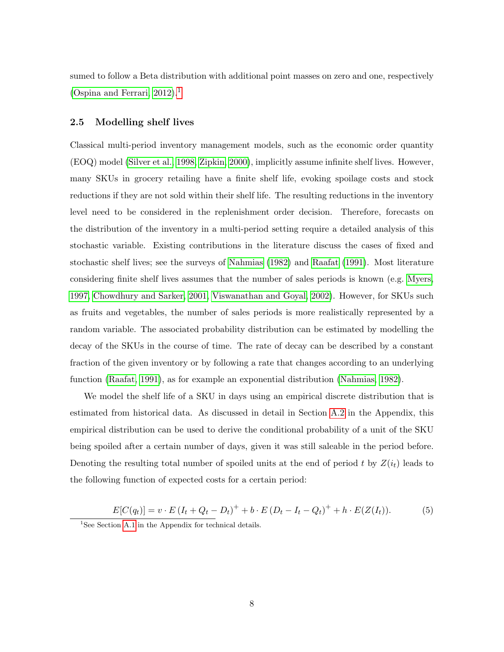sumed to follow a Beta distribution with additional point masses on zero and one, respectively [\(Ospina and Ferrari, 2012\)](#page-29-8).<sup>[1](#page-7-0)</sup>

## <span id="page-7-1"></span>2.5 Modelling shelf lives

Classical multi-period inventory management models, such as the economic order quantity (EOQ) model [\(Silver et al., 1998,](#page-29-1) [Zipkin, 2000\)](#page-30-1), implicitly assume infinite shelf lives. However, many SKUs in grocery retailing have a finite shelf life, evoking spoilage costs and stock reductions if they are not sold within their shelf life. The resulting reductions in the inventory level need to be considered in the replenishment order decision. Therefore, forecasts on the distribution of the inventory in a multi-period setting require a detailed analysis of this stochastic variable. Existing contributions in the literature discuss the cases of fixed and stochastic shelf lives; see the surveys of [Nahmias](#page-29-9) [\(1982\)](#page-29-9) and [Raafat](#page-29-0) [\(1991\)](#page-29-0). Most literature considering finite shelf lives assumes that the number of sales periods is known (e.g. [Myers,](#page-28-8) [1997,](#page-28-8) [Chowdhury and Sarker, 2001,](#page-27-2) [Viswanathan and Goyal, 2002\)](#page-30-4). However, for SKUs such as fruits and vegetables, the number of sales periods is more realistically represented by a random variable. The associated probability distribution can be estimated by modelling the decay of the SKUs in the course of time. The rate of decay can be described by a constant fraction of the given inventory or by following a rate that changes according to an underlying function [\(Raafat, 1991\)](#page-29-0), as for example an exponential distribution [\(Nahmias, 1982\)](#page-29-9).

We model the shelf life of a SKU in days using an empirical discrete distribution that is estimated from historical data. As discussed in detail in Section [A.2](#page-31-0) in the Appendix, this empirical distribution can be used to derive the conditional probability of a unit of the SKU being spoiled after a certain number of days, given it was still saleable in the period before. Denoting the resulting total number of spoiled units at the end of period t by  $Z(i_t)$  leads to the following function of expected costs for a certain period:

$$
E[C(q_t)] = v \cdot E(I_t + Q_t - D_t)^+ + b \cdot E(D_t - I_t - Q_t)^+ + h \cdot E(Z(I_t)).
$$
 (5)

<span id="page-7-0"></span><sup>&</sup>lt;sup>1</sup>See Section [A.1](#page-30-5) in the Appendix for technical details.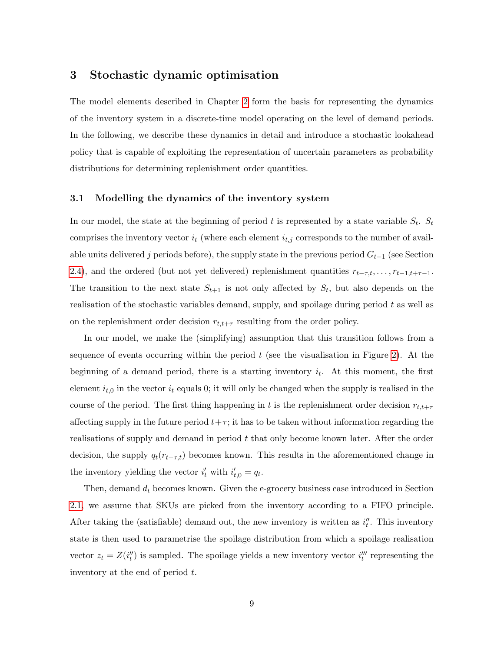## 3 Stochastic dynamic optimisation

The model elements described in Chapter [2](#page-3-0) form the basis for representing the dynamics of the inventory system in a discrete-time model operating on the level of demand periods. In the following, we describe these dynamics in detail and introduce a stochastic lookahead policy that is capable of exploiting the representation of uncertain parameters as probability distributions for determining replenishment order quantities.

#### <span id="page-8-0"></span>3.1 Modelling the dynamics of the inventory system

In our model, the state at the beginning of period t is represented by a state variable  $S_t$ .  $S_t$ comprises the inventory vector  $i_t$  (where each element  $i_{t,j}$  corresponds to the number of available units delivered j periods before), the supply state in the previous period  $G_{t-1}$  (see Section [2.4\)](#page-6-0), and the ordered (but not yet delivered) replenishment quantities  $r_{t-\tau,t}, \ldots, r_{t-1,t+\tau-1}$ . The transition to the next state  $S_{t+1}$  is not only affected by  $S_t$ , but also depends on the realisation of the stochastic variables demand, supply, and spoilage during period  $t$  as well as on the replenishment order decision  $r_{t,t+\tau}$  resulting from the order policy.

In our model, we make the (simplifying) assumption that this transition follows from a sequence of events occurring within the period  $t$  (see the visualisation in Figure [2\)](#page-9-0). At the beginning of a demand period, there is a starting inventory  $i_t$ . At this moment, the first element  $i_{t,0}$  in the vector  $i_t$  equals 0; it will only be changed when the supply is realised in the course of the period. The first thing happening in t is the replenishment order decision  $r_{t,t+\tau}$ affecting supply in the future period  $t+\tau$ ; it has to be taken without information regarding the realisations of supply and demand in period t that only become known later. After the order decision, the supply  $q_t(r_{t-\tau,t})$  becomes known. This results in the aforementioned change in the inventory yielding the vector  $i'_t$  with  $i'_{t,0} = q_t$ .

Then, demand  $d_t$  becomes known. Given the e-grocery business case introduced in Section [2.1,](#page-3-1) we assume that SKUs are picked from the inventory according to a FIFO principle. After taking the (satisfiable) demand out, the new inventory is written as  $i_t''$ . This inventory state is then used to parametrise the spoilage distribution from which a spoilage realisation vector  $z_t = Z(i''_t)$  is sampled. The spoilage yields a new inventory vector  $i''_t$  representing the inventory at the end of period t.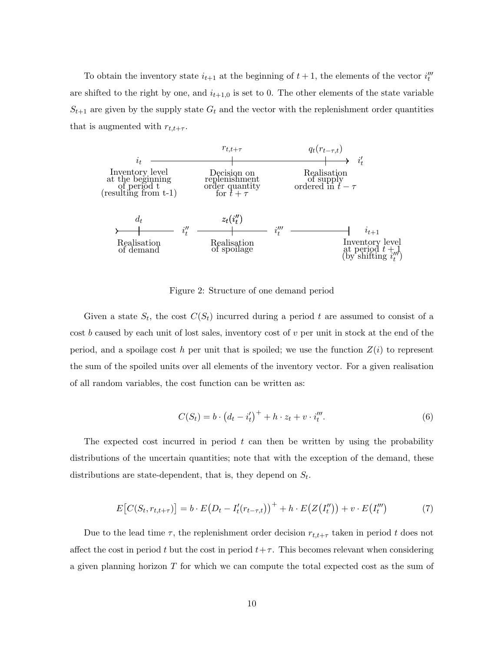To obtain the inventory state  $i_{t+1}$  at the beginning of  $t+1$ , the elements of the vector  $i_t^{\prime\prime\prime}$ are shifted to the right by one, and  $i_{t+1,0}$  is set to 0. The other elements of the state variable  $S_{t+1}$  are given by the supply state  $G_t$  and the vector with the replenishment order quantities that is augmented with  $r_{t,t+\tau}$ .



<span id="page-9-0"></span>Figure 2: Structure of one demand period

Given a state  $S_t$ , the cost  $C(S_t)$  incurred during a period t are assumed to consist of a cost b caused by each unit of lost sales, inventory cost of  $v$  per unit in stock at the end of the period, and a spoilage cost h per unit that is spoiled; we use the function  $Z(i)$  to represent the sum of the spoiled units over all elements of the inventory vector. For a given realisation of all random variables, the cost function can be written as:

$$
C(S_t) = b \cdot (d_t - i'_t)^+ + h \cdot z_t + v \cdot i''_t.
$$
 (6)

The expected cost incurred in period  $t$  can then be written by using the probability distributions of the uncertain quantities; note that with the exception of the demand, these distributions are state-dependent, that is, they depend on  $S_t$ .

$$
E\big[C(S_t, r_{t,t+\tau})\big] = b \cdot E\big(D_t - I'_t(r_{t-\tau,t})\big)^+ + h \cdot E\big(Z\big(I''_t\big)\big) + v \cdot E\big(I''_t\big) \tag{7}
$$

Due to the lead time  $\tau$ , the replenishment order decision  $r_{t,t+\tau}$  taken in period t does not affect the cost in period t but the cost in period  $t+\tau$ . This becomes relevant when considering a given planning horizon  $T$  for which we can compute the total expected cost as the sum of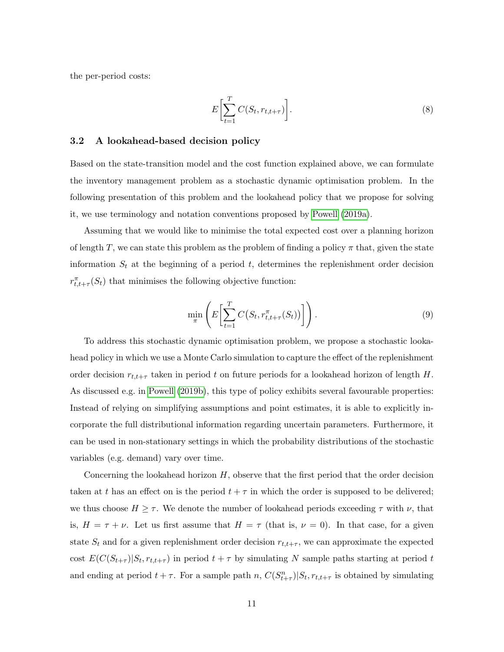the per-period costs:

$$
E\left[\sum_{t=1}^{T} C(S_t, r_{t,t+\tau})\right].
$$
\n(8)

#### <span id="page-10-0"></span>3.2 A lookahead-based decision policy

Based on the state-transition model and the cost function explained above, we can formulate the inventory management problem as a stochastic dynamic optimisation problem. In the following presentation of this problem and the lookahead policy that we propose for solving it, we use terminology and notation conventions proposed by [Powell](#page-29-4) [\(2019a\)](#page-29-4).

Assuming that we would like to minimise the total expected cost over a planning horizon of length T, we can state this problem as the problem of finding a policy  $\pi$  that, given the state information  $S_t$  at the beginning of a period t, determines the replenishment order decision  $r_{t,t+\tau}^{\pi}(S_t)$  that minimises the following objective function:

$$
\min_{\pi} \left( E \left[ \sum_{t=1}^{T} C(S_t, r_{t, t+\tau}^{\pi}(S_t)) \right] \right). \tag{9}
$$

To address this stochastic dynamic optimisation problem, we propose a stochastic lookahead policy in which we use a Monte Carlo simulation to capture the effect of the replenishment order decision  $r_{t,t+\tau}$  taken in period t on future periods for a lookahead horizon of length H. As discussed e.g. in [Powell](#page-29-10) [\(2019b\)](#page-29-10), this type of policy exhibits several favourable properties: Instead of relying on simplifying assumptions and point estimates, it is able to explicitly incorporate the full distributional information regarding uncertain parameters. Furthermore, it can be used in non-stationary settings in which the probability distributions of the stochastic variables (e.g. demand) vary over time.

Concerning the lookahead horizon  $H$ , observe that the first period that the order decision taken at t has an effect on is the period  $t + \tau$  in which the order is supposed to be delivered; we thus choose  $H \geq \tau$ . We denote the number of lookahead periods exceeding  $\tau$  with  $\nu$ , that is,  $H = \tau + \nu$ . Let us first assume that  $H = \tau$  (that is,  $\nu = 0$ ). In that case, for a given state  $S_t$  and for a given replenishment order decision  $r_{t,t+\tau}$ , we can approximate the expected cost  $E(C(S_{t+\tau})|S_t, r_{t,t+\tau})$  in period  $t+\tau$  by simulating N sample paths starting at period t and ending at period  $t + \tau$ . For a sample path n,  $C(S_{t+\tau}^n)|S_t, r_{t,t+\tau}$  is obtained by simulating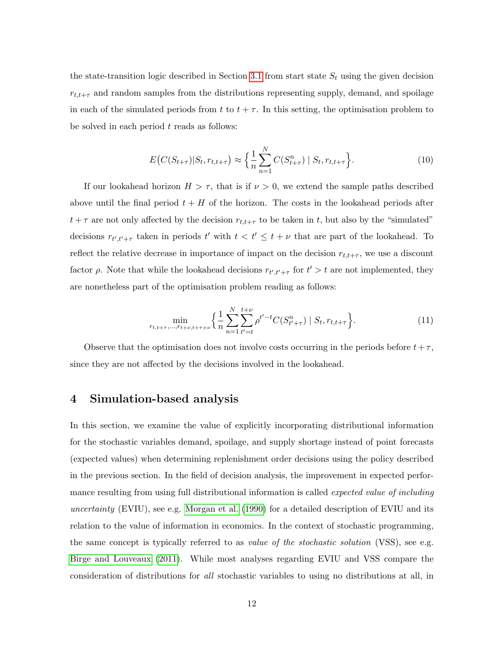the state-transition logic described in Section [3.1](#page-8-0) from start state  $S_t$  using the given decision  $r_{t,t+\tau}$  and random samples from the distributions representing supply, demand, and spoilage in each of the simulated periods from t to  $t + \tau$ . In this setting, the optimisation problem to be solved in each period  $t$  reads as follows:

$$
E\big(C(S_{t+\tau})|S_t, r_{t,t+\tau}\big) \approx \Big\{\frac{1}{n}\sum_{n=1}^N C(S_{t+\tau}^n) | S_t, r_{t,t+\tau}\Big\}.
$$
 (10)

If our lookahead horizon  $H > \tau$ , that is if  $\nu > 0$ , we extend the sample paths described above until the final period  $t + H$  of the horizon. The costs in the lookahead periods after  $t + \tau$  are not only affected by the decision  $r_{t,t+\tau}$  to be taken in t, but also by the "simulated" decisions  $r_{t',t'+\tau}$  taken in periods t' with  $t < t' \leq t + \nu$  that are part of the lookahead. To reflect the relative decrease in importance of impact on the decision  $r_{t,t+\tau}$ , we use a discount factor  $\rho$ . Note that while the lookahead decisions  $r_{t',t'+\tau}$  for  $t' > t$  are not implemented, they are nonetheless part of the optimisation problem reading as follows:

$$
\min_{r_{t,t+\tau}, \dots, r_{t+\nu, t+\tau+\nu}} \left\{ \frac{1}{n} \sum_{n=1}^{N} \sum_{t'=t}^{t+\nu} \rho^{t'-t} C(S_{t'+\tau}^n) \mid S_t, r_{t,t+\tau} \right\}.
$$
\n(11)

Observe that the optimisation does not involve costs occurring in the periods before  $t+\tau$ , since they are not affected by the decisions involved in the lookahead.

## <span id="page-11-0"></span>4 Simulation-based analysis

In this section, we examine the value of explicitly incorporating distributional information for the stochastic variables demand, spoilage, and supply shortage instead of point forecasts (expected values) when determining replenishment order decisions using the policy described in the previous section. In the field of decision analysis, the improvement in expected performance resulting from using full distributional information is called *expected value of including* uncertainty (EVIU), see e.g. [Morgan et al.](#page-28-9) [\(1990\)](#page-28-9) for a detailed description of EVIU and its relation to the value of information in economics. In the context of stochastic programming, the same concept is typically referred to as *value of the stochastic solution* (VSS), see e.g. [Birge and Louveaux](#page-27-3) [\(2011\)](#page-27-3). While most analyses regarding EVIU and VSS compare the consideration of distributions for all stochastic variables to using no distributions at all, in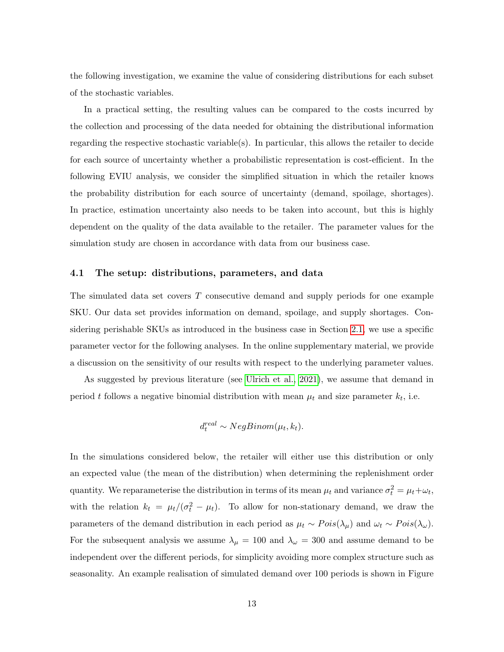the following investigation, we examine the value of considering distributions for each subset of the stochastic variables.

In a practical setting, the resulting values can be compared to the costs incurred by the collection and processing of the data needed for obtaining the distributional information regarding the respective stochastic variable(s). In particular, this allows the retailer to decide for each source of uncertainty whether a probabilistic representation is cost-efficient. In the following EVIU analysis, we consider the simplified situation in which the retailer knows the probability distribution for each source of uncertainty (demand, spoilage, shortages). In practice, estimation uncertainty also needs to be taken into account, but this is highly dependent on the quality of the data available to the retailer. The parameter values for the simulation study are chosen in accordance with data from our business case.

#### 4.1 The setup: distributions, parameters, and data

The simulated data set covers T consecutive demand and supply periods for one example SKU. Our data set provides information on demand, spoilage, and supply shortages. Considering perishable SKUs as introduced in the business case in Section [2.1,](#page-3-1) we use a specific parameter vector for the following analyses. In the online supplementary material, we provide a discussion on the sensitivity of our results with respect to the underlying parameter values.

As suggested by previous literature (see [Ulrich et al., 2021\)](#page-29-3), we assume that demand in period t follows a negative binomial distribution with mean  $\mu_t$  and size parameter  $k_t$ , i.e.

$$
d_t^{real} \sim NegBinom(\mu_t, k_t).
$$

In the simulations considered below, the retailer will either use this distribution or only an expected value (the mean of the distribution) when determining the replenishment order quantity. We reparameterise the distribution in terms of its mean  $\mu_t$  and variance  $\sigma_t^2 = \mu_t + \omega_t$ , with the relation  $k_t = \mu_t/(\sigma_t^2 - \mu_t)$ . To allow for non-stationary demand, we draw the parameters of the demand distribution in each period as  $\mu_t \sim Pois(\lambda_\mu)$  and  $\omega_t \sim Pois(\lambda_\omega)$ . For the subsequent analysis we assume  $\lambda_{\mu} = 100$  and  $\lambda_{\omega} = 300$  and assume demand to be independent over the different periods, for simplicity avoiding more complex structure such as seasonality. An example realisation of simulated demand over 100 periods is shown in Figure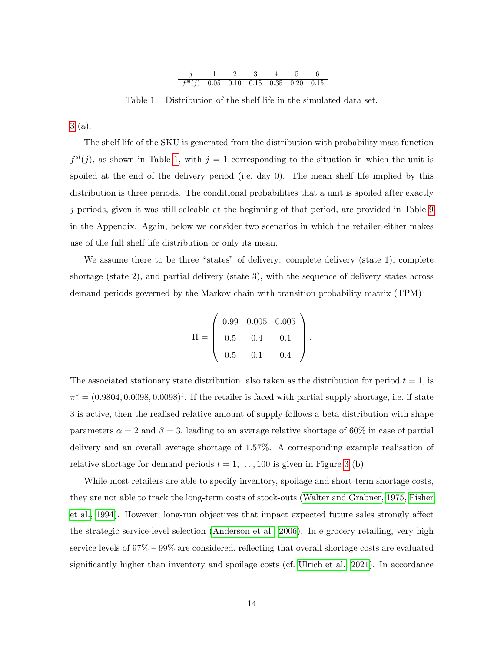<span id="page-13-0"></span>

Table 1: Distribution of the shelf life in the simulated data set.

[3](#page-14-0) (a).

The shelf life of the SKU is generated from the distribution with probability mass function  $f^{sl}(j)$ , as shown in Table [1,](#page-13-0) with  $j = 1$  corresponding to the situation in which the unit is spoiled at the end of the delivery period (i.e. day 0). The mean shelf life implied by this distribution is three periods. The conditional probabilities that a unit is spoiled after exactly j periods, given it was still saleable at the beginning of that period, are provided in Table [9](#page-31-1) in the Appendix. Again, below we consider two scenarios in which the retailer either makes use of the full shelf life distribution or only its mean.

We assume there to be three "states" of delivery: complete delivery (state 1), complete shortage (state 2), and partial delivery (state 3), with the sequence of delivery states across demand periods governed by the Markov chain with transition probability matrix (TPM)

$$
\Pi = \left(\begin{array}{ccc} 0.99 & 0.005 & 0.005 \\ 0.5 & 0.4 & 0.1 \\ 0.5 & 0.1 & 0.4 \end{array}\right).
$$

The associated stationary state distribution, also taken as the distribution for period  $t = 1$ , is  $\pi^* = (0.9804, 0.0098, 0.0098)^t$ . If the retailer is faced with partial supply shortage, i.e. if state 3 is active, then the realised relative amount of supply follows a beta distribution with shape parameters  $\alpha = 2$  and  $\beta = 3$ , leading to an average relative shortage of 60% in case of partial delivery and an overall average shortage of 1.57%. A corresponding example realisation of relative shortage for demand periods  $t = 1, \ldots, 100$  is given in Figure [3](#page-14-0) (b).

While most retailers are able to specify inventory, spoilage and short-term shortage costs, they are not able to track the long-term costs of stock-outs [\(Walter and Grabner, 1975,](#page-30-6) [Fisher](#page-28-10) [et al., 1994\)](#page-28-10). However, long-run objectives that impact expected future sales strongly affect the strategic service-level selection [\(Anderson et al., 2006\)](#page-27-4). In e-grocery retailing, very high service levels of 97% – 99% are considered, reflecting that overall shortage costs are evaluated significantly higher than inventory and spoilage costs (cf. [Ulrich et al., 2021\)](#page-29-3). In accordance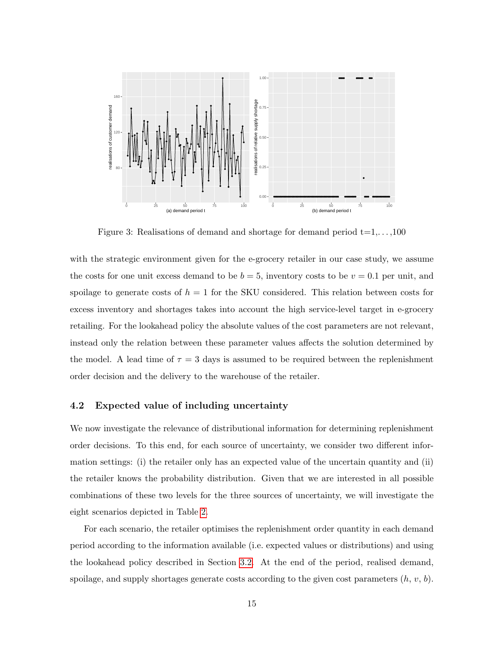

<span id="page-14-0"></span>Figure 3: Realisations of demand and shortage for demand period  $t=1,\ldots,100$ 

with the strategic environment given for the e-grocery retailer in our case study, we assume the costs for one unit excess demand to be  $b = 5$ , inventory costs to be  $v = 0.1$  per unit, and spoilage to generate costs of  $h = 1$  for the SKU considered. This relation between costs for excess inventory and shortages takes into account the high service-level target in e-grocery retailing. For the lookahead policy the absolute values of the cost parameters are not relevant, instead only the relation between these parameter values affects the solution determined by the model. A lead time of  $\tau = 3$  days is assumed to be required between the replenishment order decision and the delivery to the warehouse of the retailer.

## <span id="page-14-1"></span>4.2 Expected value of including uncertainty

We now investigate the relevance of distributional information for determining replenishment order decisions. To this end, for each source of uncertainty, we consider two different information settings: (i) the retailer only has an expected value of the uncertain quantity and (ii) the retailer knows the probability distribution. Given that we are interested in all possible combinations of these two levels for the three sources of uncertainty, we will investigate the eight scenarios depicted in Table [2.](#page-15-0)

For each scenario, the retailer optimises the replenishment order quantity in each demand period according to the information available (i.e. expected values or distributions) and using the lookahead policy described in Section [3.2.](#page-10-0) At the end of the period, realised demand, spoilage, and supply shortages generate costs according to the given cost parameters  $(h, v, b)$ .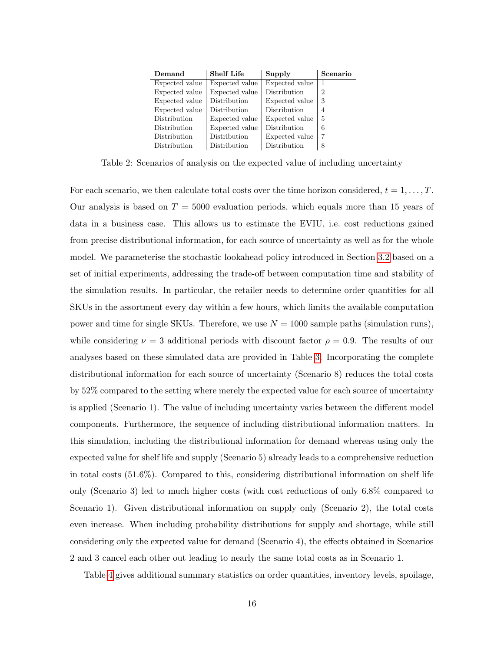| Demand         | <b>Shelf Life</b> | Supply         | Scenario      |
|----------------|-------------------|----------------|---------------|
| Expected value | Expected value    | Expected value |               |
| Expected value | Expected value    | Distribution   | $\mathcal{D}$ |
| Expected value | Distribution      | Expected value | 3             |
| Expected value | Distribution      | Distribution   | 4             |
| Distribution   | Expected value    | Expected value | 5             |
| Distribution   | Expected value    | Distribution   | 6             |
| Distribution   | Distribution      | Expected value |               |
| Distribution   | Distribution      | Distribution   | 8             |

<span id="page-15-0"></span>Table 2: Scenarios of analysis on the expected value of including uncertainty

For each scenario, we then calculate total costs over the time horizon considered,  $t = 1, \ldots, T$ . Our analysis is based on  $T = 5000$  evaluation periods, which equals more than 15 years of data in a business case. This allows us to estimate the EVIU, i.e. cost reductions gained from precise distributional information, for each source of uncertainty as well as for the whole model. We parameterise the stochastic lookahead policy introduced in Section [3.2](#page-10-0) based on a set of initial experiments, addressing the trade-off between computation time and stability of the simulation results. In particular, the retailer needs to determine order quantities for all SKUs in the assortment every day within a few hours, which limits the available computation power and time for single SKUs. Therefore, we use  $N = 1000$  sample paths (simulation runs), while considering  $\nu = 3$  additional periods with discount factor  $\rho = 0.9$ . The results of our analyses based on these simulated data are provided in Table [3.](#page-16-0) Incorporating the complete distributional information for each source of uncertainty (Scenario 8) reduces the total costs by 52% compared to the setting where merely the expected value for each source of uncertainty is applied (Scenario 1). The value of including uncertainty varies between the different model components. Furthermore, the sequence of including distributional information matters. In this simulation, including the distributional information for demand whereas using only the expected value for shelf life and supply (Scenario 5) already leads to a comprehensive reduction in total costs (51.6%). Compared to this, considering distributional information on shelf life only (Scenario 3) led to much higher costs (with cost reductions of only 6.8% compared to Scenario 1). Given distributional information on supply only (Scenario 2), the total costs even increase. When including probability distributions for supply and shortage, while still considering only the expected value for demand (Scenario 4), the effects obtained in Scenarios 2 and 3 cancel each other out leading to nearly the same total costs as in Scenario 1.

Table [4](#page-17-0) gives additional summary statistics on order quantities, inventory levels, spoilage,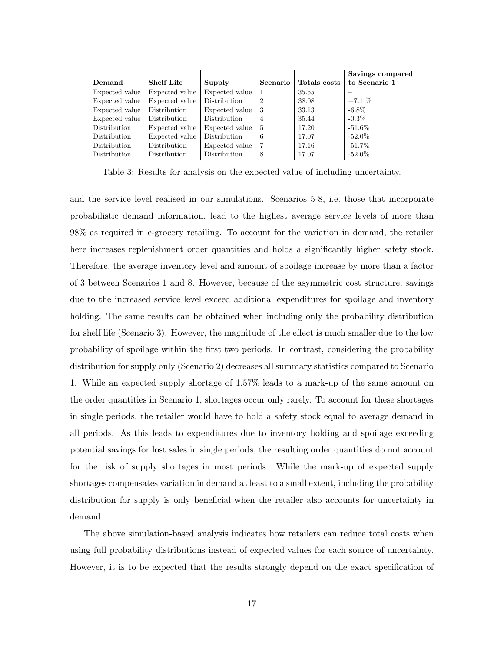|                |                   |                |          |              | Savings compared |
|----------------|-------------------|----------------|----------|--------------|------------------|
| Demand         | <b>Shelf Life</b> | Supply         | Scenario | Totals costs | to Scenario 1    |
| Expected value | Expected value    | Expected value |          | 35.55        |                  |
| Expected value | Expected value    | Distribution   | 2        | 38.08        | $+7.1\%$         |
| Expected value | Distribution      | Expected value | -3       | 33.13        | $-6.8\%$         |
| Expected value | Distribution      | Distribution   | 4        | 35.44        | $-0.3\%$         |
| Distribution   | Expected value    | Expected value | -5       | 17.20        | -51.6 $\%$       |
| Distribution   | Expected value    | Distribution   | 6        | 17.07        | $-52.0\%$        |
| Distribution   | Distribution      | Expected value |          | 17.16        | $-51.7\%$        |
| Distribution   | Distribution      | Distribution   | 8        | 17.07        | $-52.0\%$        |

<span id="page-16-0"></span>Table 3: Results for analysis on the expected value of including uncertainty.

and the service level realised in our simulations. Scenarios 5-8, i.e. those that incorporate probabilistic demand information, lead to the highest average service levels of more than 98% as required in e-grocery retailing. To account for the variation in demand, the retailer here increases replenishment order quantities and holds a significantly higher safety stock. Therefore, the average inventory level and amount of spoilage increase by more than a factor of 3 between Scenarios 1 and 8. However, because of the asymmetric cost structure, savings due to the increased service level exceed additional expenditures for spoilage and inventory holding. The same results can be obtained when including only the probability distribution for shelf life (Scenario 3). However, the magnitude of the effect is much smaller due to the low probability of spoilage within the first two periods. In contrast, considering the probability distribution for supply only (Scenario 2) decreases all summary statistics compared to Scenario 1. While an expected supply shortage of 1.57% leads to a mark-up of the same amount on the order quantities in Scenario 1, shortages occur only rarely. To account for these shortages in single periods, the retailer would have to hold a safety stock equal to average demand in all periods. As this leads to expenditures due to inventory holding and spoilage exceeding potential savings for lost sales in single periods, the resulting order quantities do not account for the risk of supply shortages in most periods. While the mark-up of expected supply shortages compensates variation in demand at least to a small extent, including the probability distribution for supply is only beneficial when the retailer also accounts for uncertainty in demand.

The above simulation-based analysis indicates how retailers can reduce total costs when using full probability distributions instead of expected values for each source of uncertainty. However, it is to be expected that the results strongly depend on the exact specification of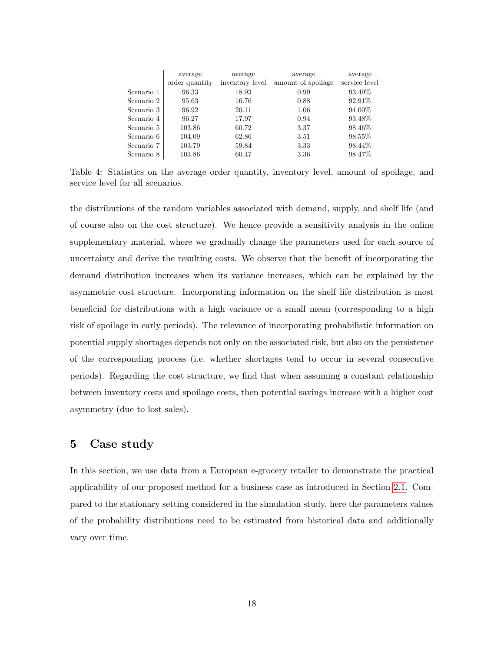|            | average<br>order quantity | average<br>inventory level | average<br>amount of spoilage | average<br>service level |
|------------|---------------------------|----------------------------|-------------------------------|--------------------------|
| Scenario 1 | 96.33                     | 18.93                      | 0.99                          | 93.49\%                  |
| Scenario 2 | 95.63                     | 16.76                      | 0.88                          | 92.91%                   |
| Scenario 3 | 96.92                     | 20.11                      | 1.06                          | 94.00%                   |
| Scenario 4 | 96.27                     | 17.97                      | 0.94                          | 93.48%                   |
| Scenario 5 | 103.86                    | 60.72                      | 3.37                          | 98.46\%                  |
| Scenario 6 | 104.09                    | 62.86                      | 3.51                          | 98.55%                   |
| Scenario 7 | 103.79                    | 59.84                      | 3.33                          | 98.44\%                  |
| Scenario 8 | 103.86                    | 60.47                      | 3.36                          | 98.47%                   |

<span id="page-17-0"></span>Table 4: Statistics on the average order quantity, inventory level, amount of spoilage, and service level for all scenarios.

the distributions of the random variables associated with demand, supply, and shelf life (and of course also on the cost structure). We hence provide a sensitivity analysis in the online supplementary material, where we gradually change the parameters used for each source of uncertainty and derive the resulting costs. We observe that the benefit of incorporating the demand distribution increases when its variance increases, which can be explained by the asymmetric cost structure. Incorporating information on the shelf life distribution is most beneficial for distributions with a high variance or a small mean (corresponding to a high risk of spoilage in early periods). The relevance of incorporating probabilistic information on potential supply shortages depends not only on the associated risk, but also on the persistence of the corresponding process (i.e. whether shortages tend to occur in several consecutive periods). Regarding the cost structure, we find that when assuming a constant relationship between inventory costs and spoilage costs, then potential savings increase with a higher cost asymmetry (due to lost sales).

## 5 Case study

In this section, we use data from a European e-grocery retailer to demonstrate the practical applicability of our proposed method for a business case as introduced in Section [2.1.](#page-3-1) Compared to the stationary setting considered in the simulation study, here the parameters values of the probability distributions need to be estimated from historical data and additionally vary over time.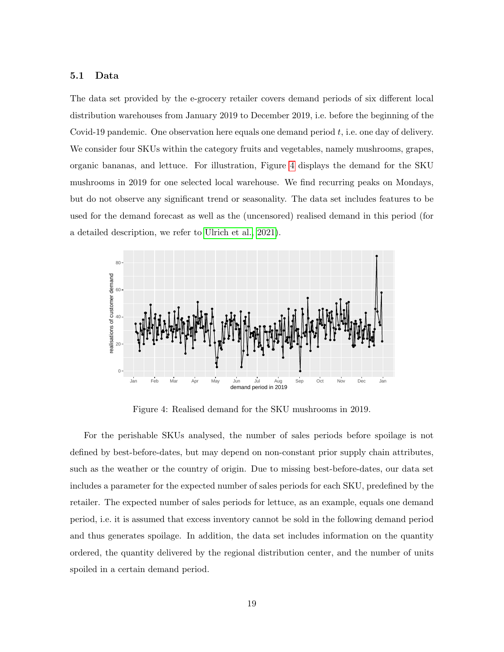## 5.1 Data

The data set provided by the e-grocery retailer covers demand periods of six different local distribution warehouses from January 2019 to December 2019, i.e. before the beginning of the Covid-19 pandemic. One observation here equals one demand period t, i.e. one day of delivery. We consider four SKUs within the category fruits and vegetables, namely mushrooms, grapes, organic bananas, and lettuce. For illustration, Figure [4](#page-18-0) displays the demand for the SKU mushrooms in 2019 for one selected local warehouse. We find recurring peaks on Mondays, but do not observe any significant trend or seasonality. The data set includes features to be used for the demand forecast as well as the (uncensored) realised demand in this period (for a detailed description, we refer to [Ulrich et al., 2021\)](#page-29-3).



<span id="page-18-0"></span>Figure 4: Realised demand for the SKU mushrooms in 2019.

For the perishable SKUs analysed, the number of sales periods before spoilage is not defined by best-before-dates, but may depend on non-constant prior supply chain attributes, such as the weather or the country of origin. Due to missing best-before-dates, our data set includes a parameter for the expected number of sales periods for each SKU, predefined by the retailer. The expected number of sales periods for lettuce, as an example, equals one demand period, i.e. it is assumed that excess inventory cannot be sold in the following demand period and thus generates spoilage. In addition, the data set includes information on the quantity ordered, the quantity delivered by the regional distribution center, and the number of units spoiled in a certain demand period.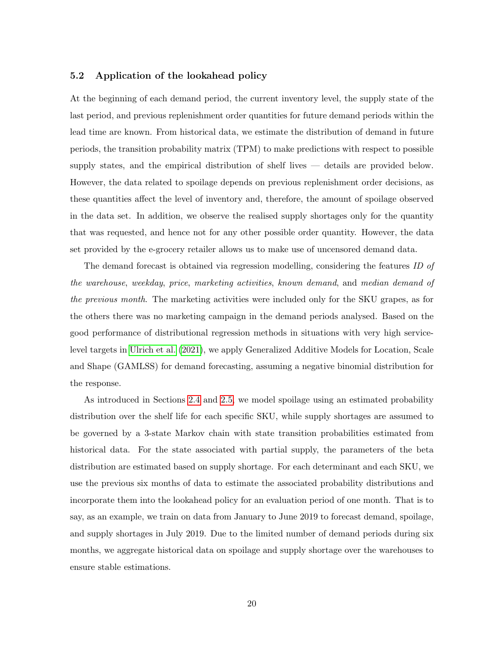## <span id="page-19-0"></span>5.2 Application of the lookahead policy

At the beginning of each demand period, the current inventory level, the supply state of the last period, and previous replenishment order quantities for future demand periods within the lead time are known. From historical data, we estimate the distribution of demand in future periods, the transition probability matrix (TPM) to make predictions with respect to possible supply states, and the empirical distribution of shelf lives — details are provided below. However, the data related to spoilage depends on previous replenishment order decisions, as these quantities affect the level of inventory and, therefore, the amount of spoilage observed in the data set. In addition, we observe the realised supply shortages only for the quantity that was requested, and hence not for any other possible order quantity. However, the data set provided by the e-grocery retailer allows us to make use of uncensored demand data.

The demand forecast is obtained via regression modelling, considering the features ID of the warehouse, weekday, price, marketing activities, known demand, and median demand of the previous month. The marketing activities were included only for the SKU grapes, as for the others there was no marketing campaign in the demand periods analysed. Based on the good performance of distributional regression methods in situations with very high servicelevel targets in [Ulrich et al.](#page-29-3) [\(2021\)](#page-29-3), we apply Generalized Additive Models for Location, Scale and Shape (GAMLSS) for demand forecasting, assuming a negative binomial distribution for the response.

As introduced in Sections [2.4](#page-6-0) and [2.5,](#page-7-1) we model spoilage using an estimated probability distribution over the shelf life for each specific SKU, while supply shortages are assumed to be governed by a 3-state Markov chain with state transition probabilities estimated from historical data. For the state associated with partial supply, the parameters of the beta distribution are estimated based on supply shortage. For each determinant and each SKU, we use the previous six months of data to estimate the associated probability distributions and incorporate them into the lookahead policy for an evaluation period of one month. That is to say, as an example, we train on data from January to June 2019 to forecast demand, spoilage, and supply shortages in July 2019. Due to the limited number of demand periods during six months, we aggregate historical data on spoilage and supply shortage over the warehouses to ensure stable estimations.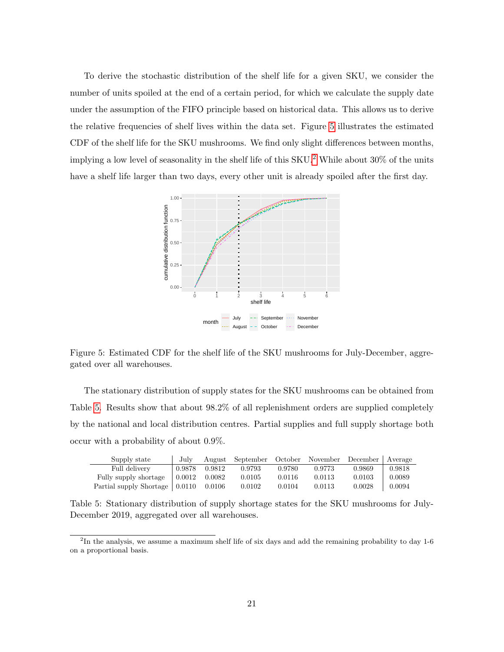To derive the stochastic distribution of the shelf life for a given SKU, we consider the number of units spoiled at the end of a certain period, for which we calculate the supply date under the assumption of the FIFO principle based on historical data. This allows us to derive the relative frequencies of shelf lives within the data set. Figure [5](#page-20-0) illustrates the estimated CDF of the shelf life for the SKU mushrooms. We find only slight differences between months, implying a low level of seasonality in the shelf life of this  $SKU<sup>2</sup>$  $SKU<sup>2</sup>$  $SKU<sup>2</sup>$  While about 30% of the units have a shelf life larger than two days, every other unit is already spoiled after the first day.



<span id="page-20-0"></span>Figure 5: Estimated CDF for the shelf life of the SKU mushrooms for July-December, aggregated over all warehouses.

The stationary distribution of supply states for the SKU mushrooms can be obtained from Table [5.](#page-20-2) Results show that about 98.2% of all replenishment orders are supplied completely by the national and local distribution centres. Partial supplies and full supply shortage both occur with a probability of about 0.9%.

| Supply state            | July   |        | August September |        | October November December Average |        |        |
|-------------------------|--------|--------|------------------|--------|-----------------------------------|--------|--------|
| Full delivery           | 0.9878 | 0.9812 | 0.9793           | 0.9780 | 0.9773                            | 0.9869 | 0.9818 |
| Fully supply shortage   | 0.0012 | 0.0082 | 0.0105           | 0.0116 | 0.0113                            | 0.0103 | 0.0089 |
| Partial supply Shortage | 0.0110 | 0.0106 | 0.0102           | 0.0104 | 0.0113                            | 0.0028 | 0.0094 |

<span id="page-20-2"></span>Table 5: Stationary distribution of supply shortage states for the SKU mushrooms for July-December 2019, aggregated over all warehouses.

<span id="page-20-1"></span><sup>&</sup>lt;sup>2</sup>In the analysis, we assume a maximum shelf life of six days and add the remaining probability to day 1-6 on a proportional basis.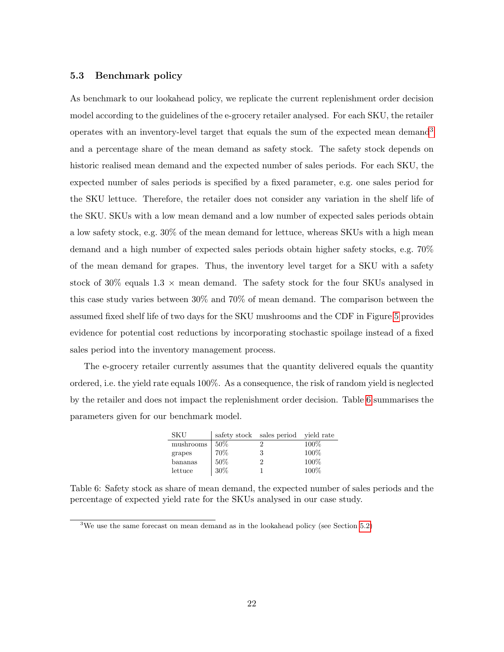## 5.3 Benchmark policy

As benchmark to our lookahead policy, we replicate the current replenishment order decision model according to the guidelines of the e-grocery retailer analysed. For each SKU, the retailer operates with an inventory-level target that equals the sum of the expected mean demand<sup>[3](#page-21-0)</sup> and a percentage share of the mean demand as safety stock. The safety stock depends on historic realised mean demand and the expected number of sales periods. For each SKU, the expected number of sales periods is specified by a fixed parameter, e.g. one sales period for the SKU lettuce. Therefore, the retailer does not consider any variation in the shelf life of the SKU. SKUs with a low mean demand and a low number of expected sales periods obtain a low safety stock, e.g. 30% of the mean demand for lettuce, whereas SKUs with a high mean demand and a high number of expected sales periods obtain higher safety stocks, e.g. 70% of the mean demand for grapes. Thus, the inventory level target for a SKU with a safety stock of 30% equals  $1.3 \times$  mean demand. The safety stock for the four SKUs analysed in this case study varies between 30% and 70% of mean demand. The comparison between the assumed fixed shelf life of two days for the SKU mushrooms and the CDF in Figure [5](#page-20-0) provides evidence for potential cost reductions by incorporating stochastic spoilage instead of a fixed sales period into the inventory management process.

The e-grocery retailer currently assumes that the quantity delivered equals the quantity ordered, i.e. the yield rate equals 100%. As a consequence, the risk of random yield is neglected by the retailer and does not impact the replenishment order decision. Table [6](#page-21-1) summarises the parameters given for our benchmark model.

| <b>SKU</b> |        | safety stock sales period vield rate |      |
|------------|--------|--------------------------------------|------|
| mushrooms  | $50\%$ |                                      | 100% |
| grapes     | 70%    | 3                                    | 100% |
| bananas    | 50%    |                                      | 100% |
| lettuce    | $30\%$ |                                      | 100% |

<span id="page-21-1"></span>Table 6: Safety stock as share of mean demand, the expected number of sales periods and the percentage of expected yield rate for the SKUs analysed in our case study.

<span id="page-21-0"></span><sup>&</sup>lt;sup>3</sup>We use the same forecast on mean demand as in the lookahead policy (see Section  $5.2$ )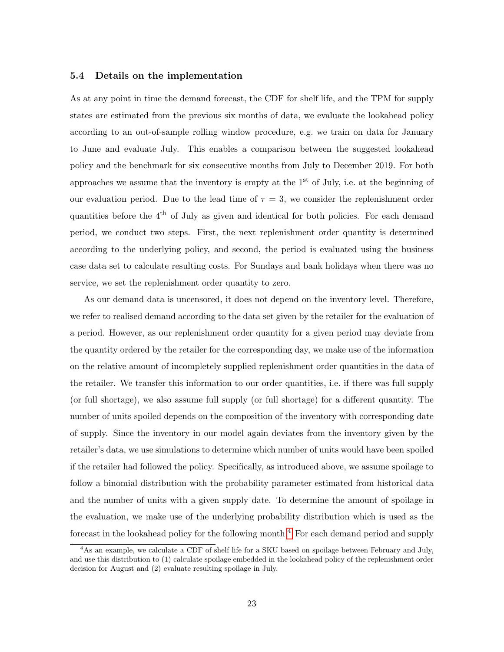#### 5.4 Details on the implementation

As at any point in time the demand forecast, the CDF for shelf life, and the TPM for supply states are estimated from the previous six months of data, we evaluate the lookahead policy according to an out-of-sample rolling window procedure, e.g. we train on data for January to June and evaluate July. This enables a comparison between the suggested lookahead policy and the benchmark for six consecutive months from July to December 2019. For both approaches we assume that the inventory is empty at the  $1<sup>st</sup>$  of July, i.e. at the beginning of our evaluation period. Due to the lead time of  $\tau = 3$ , we consider the replenishment order quantities before the  $4<sup>th</sup>$  of July as given and identical for both policies. For each demand period, we conduct two steps. First, the next replenishment order quantity is determined according to the underlying policy, and second, the period is evaluated using the business case data set to calculate resulting costs. For Sundays and bank holidays when there was no service, we set the replenishment order quantity to zero.

As our demand data is uncensored, it does not depend on the inventory level. Therefore, we refer to realised demand according to the data set given by the retailer for the evaluation of a period. However, as our replenishment order quantity for a given period may deviate from the quantity ordered by the retailer for the corresponding day, we make use of the information on the relative amount of incompletely supplied replenishment order quantities in the data of the retailer. We transfer this information to our order quantities, i.e. if there was full supply (or full shortage), we also assume full supply (or full shortage) for a different quantity. The number of units spoiled depends on the composition of the inventory with corresponding date of supply. Since the inventory in our model again deviates from the inventory given by the retailer's data, we use simulations to determine which number of units would have been spoiled if the retailer had followed the policy. Specifically, as introduced above, we assume spoilage to follow a binomial distribution with the probability parameter estimated from historical data and the number of units with a given supply date. To determine the amount of spoilage in the evaluation, we make use of the underlying probability distribution which is used as the forecast in the lookahead policy for the following month.<sup>[4](#page-22-0)</sup> For each demand period and supply

<span id="page-22-0"></span><sup>4</sup>As an example, we calculate a CDF of shelf life for a SKU based on spoilage between February and July, and use this distribution to (1) calculate spoilage embedded in the lookahead policy of the replenishment order decision for August and (2) evaluate resulting spoilage in July.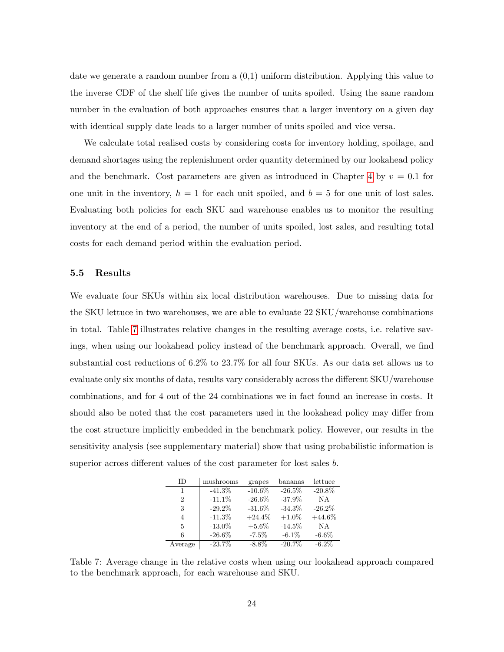date we generate a random number from a (0,1) uniform distribution. Applying this value to the inverse CDF of the shelf life gives the number of units spoiled. Using the same random number in the evaluation of both approaches ensures that a larger inventory on a given day with identical supply date leads to a larger number of units spoiled and vice versa.

We calculate total realised costs by considering costs for inventory holding, spoilage, and demand shortages using the replenishment order quantity determined by our lookahead policy and the benchmark. Cost parameters are given as introduced in Chapter [4](#page-11-0) by  $v = 0.1$  for one unit in the inventory,  $h = 1$  for each unit spoiled, and  $b = 5$  for one unit of lost sales. Evaluating both policies for each SKU and warehouse enables us to monitor the resulting inventory at the end of a period, the number of units spoiled, lost sales, and resulting total costs for each demand period within the evaluation period.

## 5.5 Results

We evaluate four SKUs within six local distribution warehouses. Due to missing data for the SKU lettuce in two warehouses, we are able to evaluate 22 SKU/warehouse combinations in total. Table [7](#page-23-0) illustrates relative changes in the resulting average costs, i.e. relative savings, when using our lookahead policy instead of the benchmark approach. Overall, we find substantial cost reductions of 6.2% to 23.7% for all four SKUs. As our data set allows us to evaluate only six months of data, results vary considerably across the different SKU/warehouse combinations, and for 4 out of the 24 combinations we in fact found an increase in costs. It should also be noted that the cost parameters used in the lookahead policy may differ from the cost structure implicitly embedded in the benchmark policy. However, our results in the sensitivity analysis (see supplementary material) show that using probabilistic information is superior across different values of the cost parameter for lost sales b.

| ID      | mushrooms | grapes    | bananas   | lettuce   |
|---------|-----------|-----------|-----------|-----------|
| 1       | $-41.3\%$ | $-10.6%$  | $-26.5%$  | $-20.8\%$ |
| 2       | $-11.1%$  | $-26.6\%$ | $-37.9%$  | <b>NA</b> |
| 3       | $-29.2\%$ | $-31.6%$  | $-34.3\%$ | $-26.2\%$ |
| 4       | $-11.3%$  | $+24.4%$  | $+1.0\%$  | $+44.6\%$ |
| 5       | $-13.0\%$ | $+5.6\%$  | $-14.5%$  | <b>NA</b> |
| 6       | $-26.6\%$ | $-7.5\%$  | $-6.1\%$  | $-6.6\%$  |
| Average | $-23.7\%$ | $-8.8\%$  | $-20.7%$  | $-6.2\%$  |

<span id="page-23-0"></span>Table 7: Average change in the relative costs when using our lookahead approach compared to the benchmark approach, for each warehouse and SKU.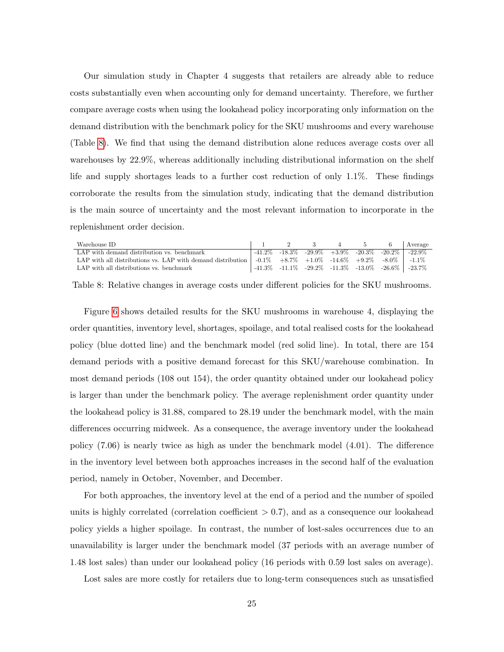Our simulation study in Chapter 4 suggests that retailers are already able to reduce costs substantially even when accounting only for demand uncertainty. Therefore, we further compare average costs when using the lookahead policy incorporating only information on the demand distribution with the benchmark policy for the SKU mushrooms and every warehouse (Table [8\)](#page-24-0). We find that using the demand distribution alone reduces average costs over all warehouses by 22.9%, whereas additionally including distributional information on the shelf life and supply shortages leads to a further cost reduction of only 1.1%. These findings corroborate the results from the simulation study, indicating that the demand distribution is the main source of uncertainty and the most relevant information to incorporate in the replenishment order decision.

| Warehouse ID                                                                                                           |  |  |  | 2 3 4 5 6 Average                                                    |
|------------------------------------------------------------------------------------------------------------------------|--|--|--|----------------------------------------------------------------------|
| LAP with demand distribution vs. benchmark                                                                             |  |  |  | $-41.2\%$ $-18.3\%$ $-29.9\%$ $+3.9\%$ $-20.3\%$ $-20.2\%$ $-22.9\%$ |
| LAP with all distributions vs. LAP with demand distribution $\vert$ -0.1% +8.7% +1.0% -14.6% +9.2% -8.0% $\vert$ -1.1% |  |  |  |                                                                      |
| LAP with all distributions vs. benchmark                                                                               |  |  |  | $\vert$ -41.3% -11.1% -29.2% -11.3% -13.0% -26.6% -23.7%             |

<span id="page-24-0"></span>Table 8: Relative changes in average costs under different policies for the SKU mushrooms.

Figure [6](#page-25-0) shows detailed results for the SKU mushrooms in warehouse 4, displaying the order quantities, inventory level, shortages, spoilage, and total realised costs for the lookahead policy (blue dotted line) and the benchmark model (red solid line). In total, there are 154 demand periods with a positive demand forecast for this SKU/warehouse combination. In most demand periods (108 out 154), the order quantity obtained under our lookahead policy is larger than under the benchmark policy. The average replenishment order quantity under the lookahead policy is 31.88, compared to 28.19 under the benchmark model, with the main differences occurring midweek. As a consequence, the average inventory under the lookahead policy (7.06) is nearly twice as high as under the benchmark model (4.01). The difference in the inventory level between both approaches increases in the second half of the evaluation period, namely in October, November, and December.

For both approaches, the inventory level at the end of a period and the number of spoiled units is highly correlated (correlation coefficient  $> 0.7$ ), and as a consequence our lookahead policy yields a higher spoilage. In contrast, the number of lost-sales occurrences due to an unavailability is larger under the benchmark model (37 periods with an average number of 1.48 lost sales) than under our lookahead policy (16 periods with 0.59 lost sales on average).

Lost sales are more costly for retailers due to long-term consequences such as unsatisfied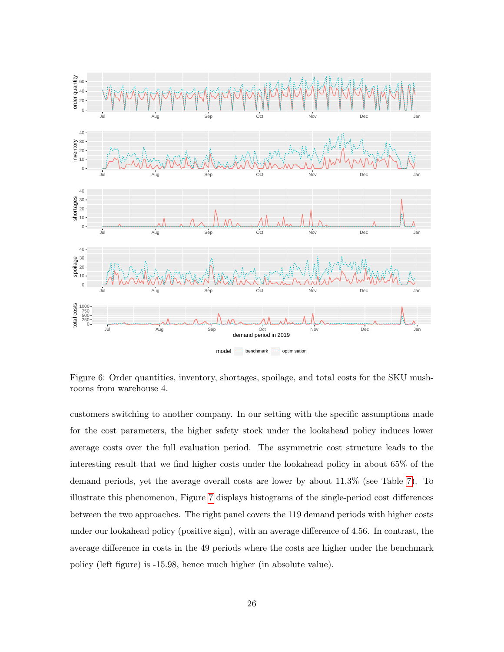

<span id="page-25-0"></span>Figure 6: Order quantities, inventory, shortages, spoilage, and total costs for the SKU mushrooms from warehouse 4.

customers switching to another company. In our setting with the specific assumptions made for the cost parameters, the higher safety stock under the lookahead policy induces lower average costs over the full evaluation period. The asymmetric cost structure leads to the interesting result that we find higher costs under the lookahead policy in about 65% of the demand periods, yet the average overall costs are lower by about 11.3% (see Table [7\)](#page-23-0). To illustrate this phenomenon, Figure [7](#page-26-0) displays histograms of the single-period cost differences between the two approaches. The right panel covers the 119 demand periods with higher costs under our lookahead policy (positive sign), with an average difference of 4.56. In contrast, the average difference in costs in the 49 periods where the costs are higher under the benchmark policy (left figure) is -15.98, hence much higher (in absolute value).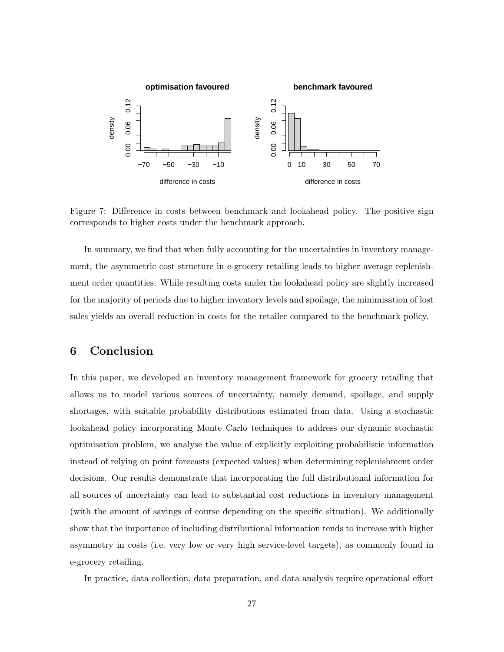

<span id="page-26-0"></span>Figure 7: Difference in costs between benchmark and lookahead policy. The positive sign corresponds to higher costs under the benchmark approach.

In summary, we find that when fully accounting for the uncertainties in inventory management, the asymmetric cost structure in e-grocery retailing leads to higher average replenishment order quantities. While resulting costs under the lookahead policy are slightly increased for the majority of periods due to higher inventory levels and spoilage, the minimisation of lost sales yields an overall reduction in costs for the retailer compared to the benchmark policy.

## 6 Conclusion

In this paper, we developed an inventory management framework for grocery retailing that allows us to model various sources of uncertainty, namely demand, spoilage, and supply shortages, with suitable probability distributions estimated from data. Using a stochastic lookahead policy incorporating Monte Carlo techniques to address our dynamic stochastic optimisation problem, we analyse the value of explicitly exploiting probabilistic information instead of relying on point forecasts (expected values) when determining replenishment order decisions. Our results demonstrate that incorporating the full distributional information for all sources of uncertainty can lead to substantial cost reductions in inventory management (with the amount of savings of course depending on the specific situation). We additionally show that the importance of including distributional information tends to increase with higher asymmetry in costs (i.e. very low or very high service-level targets), as commonly found in e-grocery retailing.

In practice, data collection, data preparation, and data analysis require operational effort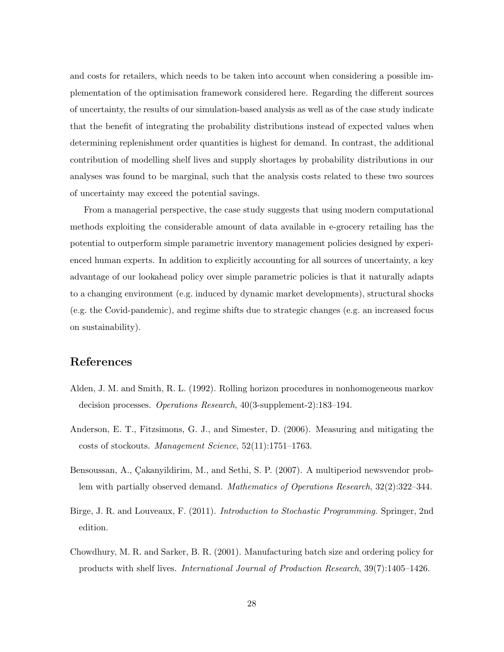and costs for retailers, which needs to be taken into account when considering a possible implementation of the optimisation framework considered here. Regarding the different sources of uncertainty, the results of our simulation-based analysis as well as of the case study indicate that the benefit of integrating the probability distributions instead of expected values when determining replenishment order quantities is highest for demand. In contrast, the additional contribution of modelling shelf lives and supply shortages by probability distributions in our analyses was found to be marginal, such that the analysis costs related to these two sources of uncertainty may exceed the potential savings.

From a managerial perspective, the case study suggests that using modern computational methods exploiting the considerable amount of data available in e-grocery retailing has the potential to outperform simple parametric inventory management policies designed by experienced human experts. In addition to explicitly accounting for all sources of uncertainty, a key advantage of our lookahead policy over simple parametric policies is that it naturally adapts to a changing environment (e.g. induced by dynamic market developments), structural shocks (e.g. the Covid-pandemic), and regime shifts due to strategic changes (e.g. an increased focus on sustainability).

## References

- <span id="page-27-1"></span>Alden, J. M. and Smith, R. L. (1992). Rolling horizon procedures in nonhomogeneous markov decision processes. Operations Research, 40(3-supplement-2):183–194.
- <span id="page-27-4"></span>Anderson, E. T., Fitzsimons, G. J., and Simester, D. (2006). Measuring and mitigating the costs of stockouts. Management Science, 52(11):1751–1763.
- <span id="page-27-0"></span>Bensoussan, A., Çakanyildirim, M., and Sethi, S. P. (2007). A multiperiod newsvendor problem with partially observed demand. Mathematics of Operations Research, 32(2):322–344.
- <span id="page-27-3"></span>Birge, J. R. and Louveaux, F. (2011). Introduction to Stochastic Programming. Springer, 2nd edition.
- <span id="page-27-2"></span>Chowdhury, M. R. and Sarker, B. R. (2001). Manufacturing batch size and ordering policy for products with shelf lives. International Journal of Production Research, 39(7):1405–1426.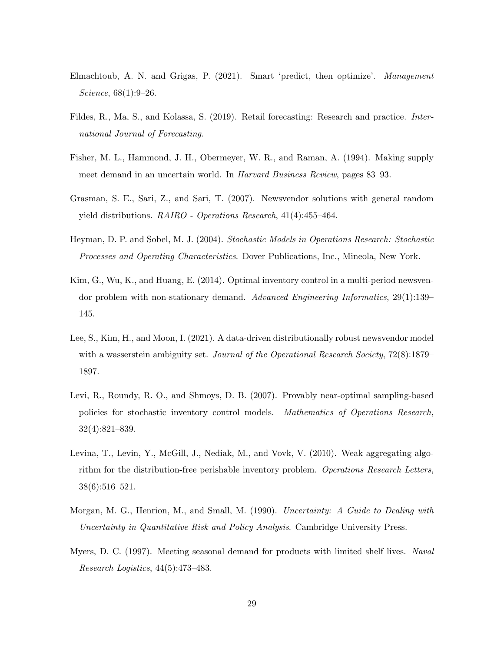- <span id="page-28-3"></span>Elmachtoub, A. N. and Grigas, P. (2021). Smart 'predict, then optimize'. Management Science, 68(1):9–26.
- <span id="page-28-1"></span>Fildes, R., Ma, S., and Kolassa, S. (2019). Retail forecasting: Research and practice. International Journal of Forecasting.
- <span id="page-28-10"></span>Fisher, M. L., Hammond, J. H., Obermeyer, W. R., and Raman, A. (1994). Making supply meet demand in an uncertain world. In Harvard Business Review, pages 83–93.
- <span id="page-28-7"></span>Grasman, S. E., Sari, Z., and Sari, T. (2007). Newsvendor solutions with general random yield distributions. RAIRO - Operations Research, 41(4):455–464.
- <span id="page-28-2"></span>Heyman, D. P. and Sobel, M. J. (2004). Stochastic Models in Operations Research: Stochastic Processes and Operating Characteristics. Dover Publications, Inc., Mineola, New York.
- <span id="page-28-0"></span>Kim, G., Wu, K., and Huang, E. (2014). Optimal inventory control in a multi-period newsvendor problem with non-stationary demand. Advanced Engineering Informatics, 29(1):139– 145.
- <span id="page-28-4"></span>Lee, S., Kim, H., and Moon, I. (2021). A data-driven distributionally robust newsvendor model with a wasserstein ambiguity set. Journal of the Operational Research Society, 72(8):1879– 1897.
- <span id="page-28-5"></span>Levi, R., Roundy, R. O., and Shmoys, D. B. (2007). Provably near-optimal sampling-based policies for stochastic inventory control models. Mathematics of Operations Research, 32(4):821–839.
- <span id="page-28-6"></span>Levina, T., Levin, Y., McGill, J., Nediak, M., and Vovk, V. (2010). Weak aggregating algorithm for the distribution-free perishable inventory problem. Operations Research Letters, 38(6):516–521.
- <span id="page-28-9"></span>Morgan, M. G., Henrion, M., and Small, M. (1990). Uncertainty: A Guide to Dealing with Uncertainty in Quantitative Risk and Policy Analysis. Cambridge University Press.
- <span id="page-28-8"></span>Myers, D. C. (1997). Meeting seasonal demand for products with limited shelf lives. Naval Research Logistics, 44(5):473–483.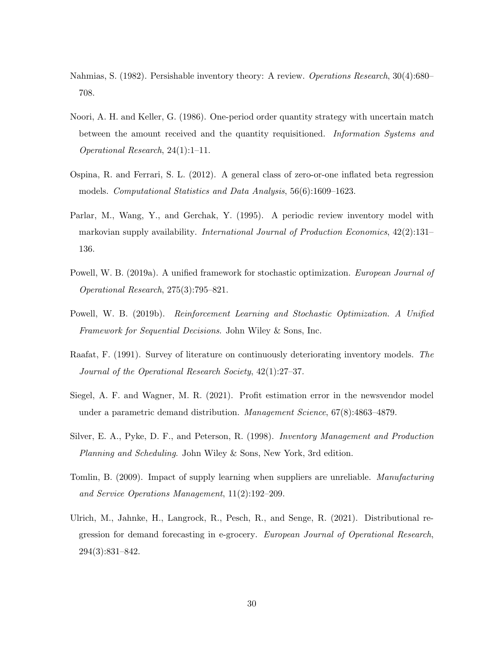- <span id="page-29-9"></span>Nahmias, S. (1982). Persishable inventory theory: A review. Operations Research, 30(4):680– 708.
- <span id="page-29-6"></span>Noori, A. H. and Keller, G. (1986). One-period order quantity strategy with uncertain match between the amount received and the quantity requisitioned. Information Systems and Operational Research, 24(1):1–11.
- <span id="page-29-8"></span>Ospina, R. and Ferrari, S. L. (2012). A general class of zero-or-one inflated beta regression models. Computational Statistics and Data Analysis, 56(6):1609–1623.
- <span id="page-29-7"></span>Parlar, M., Wang, Y., and Gerchak, Y. (1995). A periodic review inventory model with markovian supply availability. *International Journal of Production Economics*, 42(2):131– 136.
- <span id="page-29-4"></span>Powell, W. B. (2019a). A unified framework for stochastic optimization. European Journal of Operational Research, 275(3):795–821.
- <span id="page-29-10"></span>Powell, W. B. (2019b). Reinforcement Learning and Stochastic Optimization. A Unified Framework for Sequential Decisions. John Wiley & Sons, Inc.
- <span id="page-29-0"></span>Raafat, F. (1991). Survey of literature on continuously deteriorating inventory models. The Journal of the Operational Research Society, 42(1):27–37.
- <span id="page-29-2"></span>Siegel, A. F. and Wagner, M. R. (2021). Profit estimation error in the newsvendor model under a parametric demand distribution. *Management Science*, 67(8):4863–4879.
- <span id="page-29-1"></span>Silver, E. A., Pyke, D. F., and Peterson, R. (1998). Inventory Management and Production Planning and Scheduling. John Wiley & Sons, New York, 3rd edition.
- <span id="page-29-5"></span>Tomlin, B. (2009). Impact of supply learning when suppliers are unreliable. Manufacturing and Service Operations Management, 11(2):192–209.
- <span id="page-29-3"></span>Ulrich, M., Jahnke, H., Langrock, R., Pesch, R., and Senge, R. (2021). Distributional regression for demand forecasting in e-grocery. European Journal of Operational Research, 294(3):831–842.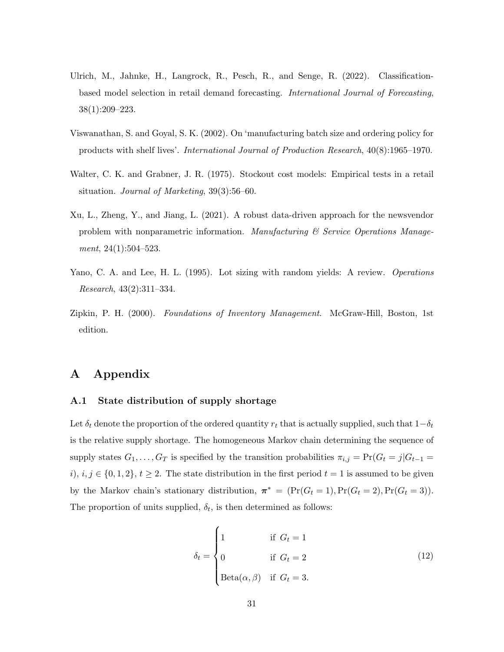- <span id="page-30-2"></span>Ulrich, M., Jahnke, H., Langrock, R., Pesch, R., and Senge, R. (2022). Classificationbased model selection in retail demand forecasting. International Journal of Forecasting, 38(1):209–223.
- <span id="page-30-4"></span>Viswanathan, S. and Goyal, S. K. (2002). On 'manufacturing batch size and ordering policy for products with shelf lives'. International Journal of Production Research, 40(8):1965–1970.
- <span id="page-30-6"></span>Walter, C. K. and Grabner, J. R. (1975). Stockout cost models: Empirical tests in a retail situation. Journal of Marketing, 39(3):56–60.
- <span id="page-30-0"></span>Xu, L., Zheng, Y., and Jiang, L. (2021). A robust data-driven approach for the newsvendor problem with nonparametric information. Manufacturing  $\mathcal C$  Service Operations Manugement, 24(1):504-523.
- <span id="page-30-3"></span>Yano, C. A. and Lee, H. L. (1995). Lot sizing with random yields: A review. Operations Research, 43(2):311–334.
- <span id="page-30-1"></span>Zipkin, P. H. (2000). Foundations of Inventory Management. McGraw-Hill, Boston, 1st edition.

## A Appendix

#### <span id="page-30-5"></span>A.1 State distribution of supply shortage

Let  $\delta_t$  denote the proportion of the ordered quantity  $r_t$  that is actually supplied, such that  $1-\delta_t$ is the relative supply shortage. The homogeneous Markov chain determining the sequence of supply states  $G_1, \ldots, G_T$  is specified by the transition probabilities  $\pi_{i,j} = \Pr(G_t = j | G_{t-1})$ i),  $i, j \in \{0, 1, 2\}, t \geq 2$ . The state distribution in the first period  $t = 1$  is assumed to be given by the Markov chain's stationary distribution,  $\pi^* = (\Pr(G_t = 1), \Pr(G_t = 2), \Pr(G_t = 3)).$ The proportion of units supplied,  $\delta_t$ , is then determined as follows:

$$
\delta_t = \begin{cases}\n1 & \text{if } G_t = 1 \\
0 & \text{if } G_t = 2 \\
\text{Beta}(\alpha, \beta) & \text{if } G_t = 3.\n\end{cases}
$$
\n(12)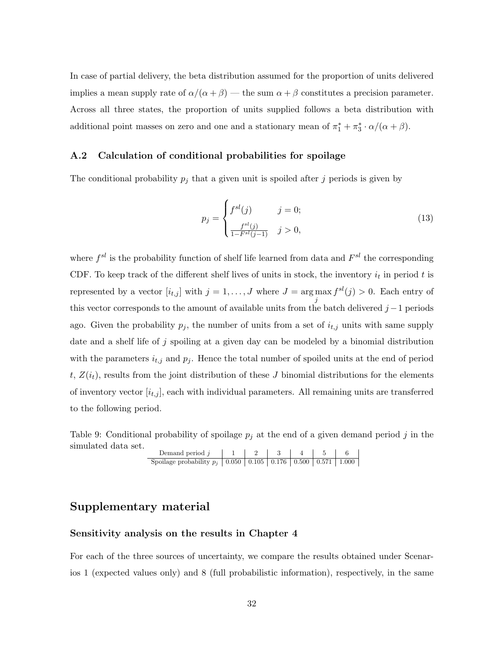In case of partial delivery, the beta distribution assumed for the proportion of units delivered implies a mean supply rate of  $\alpha/(\alpha + \beta)$  — the sum  $\alpha + \beta$  constitutes a precision parameter. Across all three states, the proportion of units supplied follows a beta distribution with additional point masses on zero and one and a stationary mean of  $\pi_1^* + \pi_3^* \cdot \alpha/(\alpha + \beta)$ .

## <span id="page-31-0"></span>A.2 Calculation of conditional probabilities for spoilage

The conditional probability  $p_j$  that a given unit is spoiled after j periods is given by

$$
p_j = \begin{cases} f^{sl}(j) & j = 0; \\ \frac{f^{sl}(j)}{1 - F^{sl}(j - 1)} & j > 0, \end{cases}
$$
 (13)

where  $f^{sl}$  is the probability function of shelf life learned from data and  $F^{sl}$  the corresponding CDF. To keep track of the different shelf lives of units in stock, the inventory  $i_t$  in period t is represented by a vector  $[i_{t,j}]$  with  $j = 1, \ldots, J$  where  $J = \arg \max f^{sl}(j) > 0$ . Each entry of j this vector corresponds to the amount of available units from the batch delivered  $j-1$  periods ago. Given the probability  $p_j$ , the number of units from a set of  $i_{t,j}$  units with same supply date and a shelf life of  $j$  spoiling at a given day can be modeled by a binomial distribution with the parameters  $i_{t,j}$  and  $p_j$ . Hence the total number of spoiled units at the end of period t,  $Z(i_t)$ , results from the joint distribution of these J binomial distributions for the elements of inventory vector  $[i_{t,j}]$ , each with individual parameters. All remaining units are transferred to the following period.

<span id="page-31-1"></span>Table 9: Conditional probability of spoilage  $p_j$  at the end of a given demand period j in the simulated data set.

Demand period  $j \mid 1 \mid 2 \mid 3 \mid 4 \mid 5 \mid 6$ Spoilage probability  $p_j$  0.050 0.105 0.176 0.500 0.571 1.000

## Supplementary material

## Sensitivity analysis on the results in Chapter 4

For each of the three sources of uncertainty, we compare the results obtained under Scenarios 1 (expected values only) and 8 (full probabilistic information), respectively, in the same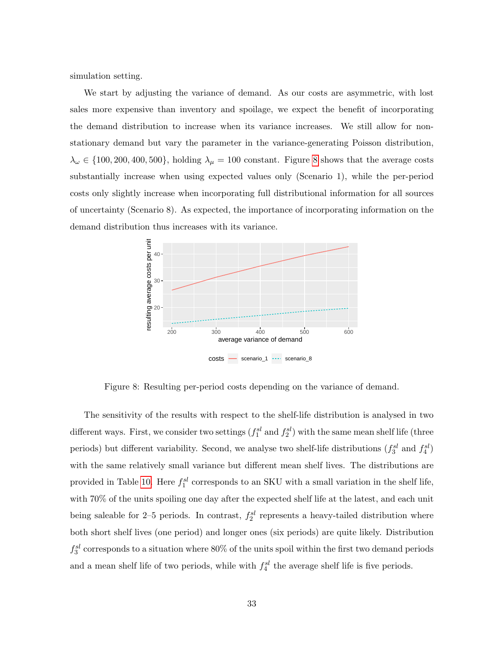simulation setting.

We start by adjusting the variance of demand. As our costs are asymmetric, with lost sales more expensive than inventory and spoilage, we expect the benefit of incorporating the demand distribution to increase when its variance increases. We still allow for nonstationary demand but vary the parameter in the variance-generating Poisson distribution,  $\lambda_{\omega} \in \{100, 200, 400, 500\}$ , holding  $\lambda_{\mu} = 100$  constant. Figure [8](#page-32-0) shows that the average costs substantially increase when using expected values only (Scenario 1), while the per-period costs only slightly increase when incorporating full distributional information for all sources of uncertainty (Scenario 8). As expected, the importance of incorporating information on the demand distribution thus increases with its variance.



<span id="page-32-0"></span>Figure 8: Resulting per-period costs depending on the variance of demand.

The sensitivity of the results with respect to the shelf-life distribution is analysed in two different ways. First, we consider two settings  $(f_1^{sl}$  and  $f_2^{sl}$ ) with the same mean shelf life (three periods) but different variability. Second, we analyse two shelf-life distributions  $(f_3^{sl}$  and  $f_4^{sl}$ ) with the same relatively small variance but different mean shelf lives. The distributions are provided in Table [10.](#page-33-0) Here  $f_1^{sl}$  corresponds to an SKU with a small variation in the shelf life, with 70% of the units spoiling one day after the expected shelf life at the latest, and each unit being saleable for 2–5 periods. In contrast,  $f_2^{sl}$  represents a heavy-tailed distribution where both short shelf lives (one period) and longer ones (six periods) are quite likely. Distribution  $f_3^{sl}$  corresponds to a situation where 80% of the units spoil within the first two demand periods and a mean shelf life of two periods, while with  $f_4^{sl}$  the average shelf life is five periods.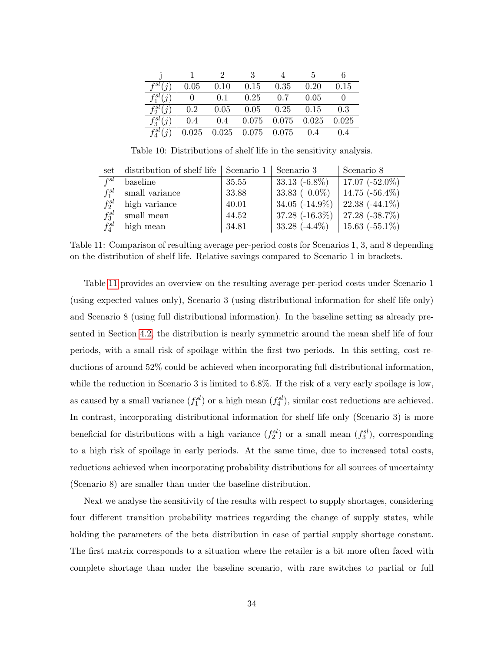| $f^{sl}(i)$   | 0.05 | $0.10$ $0.15$ $0.35$ $0.20$                                                               |  | 0.15 |
|---------------|------|-------------------------------------------------------------------------------------------|--|------|
| $f_1^{sl}(i)$ |      | $\begin{array}{cccccc} \mid & 0 & 0.1 & 0.25 & 0.7 & 0.05 \end{array}$                    |  |      |
| $f_2^{sl}(j)$ |      | $\begin{array}{cccccc} \n\vert & 0.2 & 0.05 & 0.05 & 0.25 & 0.15 & 0.3\n\end{array}$      |  |      |
| $f_3^{sl}(j)$ |      | $\begin{array}{cccccc} \n\vert & 0.4 & 0.4 & 0.075 & 0.075 & 0.025 & 0.025 \n\end{array}$ |  |      |
| $f_4^{sl}(i)$ |      | $\begin{array}{cccccc} \n0.025 & 0.025 & 0.075 & 0.075 & 0.4 & 0.4\n\end{array}$          |  |      |

<span id="page-33-0"></span>Table 10: Distributions of shelf life in the sensitivity analysis.

|                   | set distribution of shelf life   Scenario 1   Scenario 3 |       |                                    | Scenario 8        |
|-------------------|----------------------------------------------------------|-------|------------------------------------|-------------------|
| $_{\it{fsl}}$     | baseline                                                 | 35.55 | $33.13(-6.8\%)$                    | 17.07 $(-52.0\%)$ |
| $f_1^{sl}$        | small variance                                           | 33.88 | 33.83 $(0.0\%)$                    | $14.75(-56.4\%)$  |
| $f^{sl}_{\gamma}$ | high variance                                            | 40.01 | $34.05$ ( $-14.9\%$ )              | 22.38 $(-44.1\%)$ |
| $f_2^{sl}$        | small mean                                               | 44.52 | $37.28$ (-16.3%)   27.28 (-38.7%)  |                   |
| $f^{sl}$          | high mean                                                | 34.81 | $33.28$ (-4.4\%)   15.63 (-55.1\%) |                   |

<span id="page-33-1"></span>Table 11: Comparison of resulting average per-period costs for Scenarios 1, 3, and 8 depending on the distribution of shelf life. Relative savings compared to Scenario 1 in brackets.

Table [11](#page-33-1) provides an overview on the resulting average per-period costs under Scenario 1 (using expected values only), Scenario 3 (using distributional information for shelf life only) and Scenario 8 (using full distributional information). In the baseline setting as already presented in Section [4.2,](#page-14-1) the distribution is nearly symmetric around the mean shelf life of four periods, with a small risk of spoilage within the first two periods. In this setting, cost reductions of around 52% could be achieved when incorporating full distributional information, while the reduction in Scenario 3 is limited to 6.8%. If the risk of a very early spoilage is low, as caused by a small variance  $(f_1^{sl})$  or a high mean  $(f_4^{sl})$ , similar cost reductions are achieved. In contrast, incorporating distributional information for shelf life only (Scenario 3) is more beneficial for distributions with a high variance  $(f_2^{sl})$  or a small mean  $(f_3^{sl})$ , corresponding to a high risk of spoilage in early periods. At the same time, due to increased total costs, reductions achieved when incorporating probability distributions for all sources of uncertainty (Scenario 8) are smaller than under the baseline distribution.

Next we analyse the sensitivity of the results with respect to supply shortages, considering four different transition probability matrices regarding the change of supply states, while holding the parameters of the beta distribution in case of partial supply shortage constant. The first matrix corresponds to a situation where the retailer is a bit more often faced with complete shortage than under the baseline scenario, with rare switches to partial or full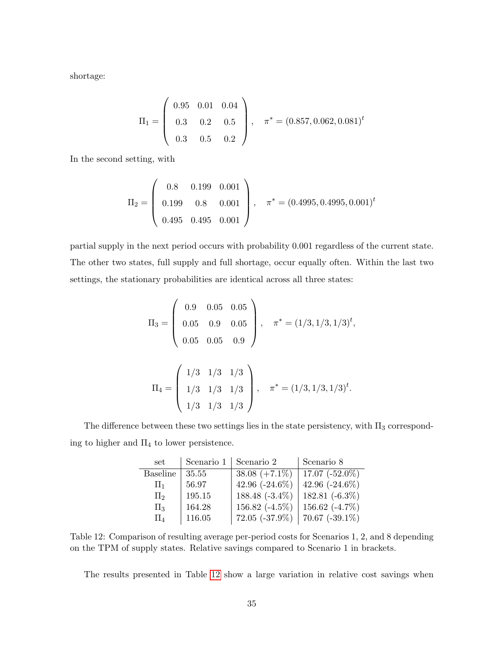shortage:

$$
\Pi_1 = \left(\begin{array}{ccc} 0.95 & 0.01 & 0.04 \\ 0.3 & 0.2 & 0.5 \\ 0.3 & 0.5 & 0.2 \end{array}\right), \quad \pi^* = (0.857, 0.062, 0.081)^t
$$

In the second setting, with

$$
\Pi_2 = \left(\begin{array}{ccc} 0.8 & 0.199 & 0.001 \\ 0.199 & 0.8 & 0.001 \\ 0.495 & 0.495 & 0.001 \end{array}\right), \quad \pi^* = (0.4995, 0.4995, 0.001)^t
$$

partial supply in the next period occurs with probability 0.001 regardless of the current state. The other two states, full supply and full shortage, occur equally often. Within the last two settings, the stationary probabilities are identical across all three states:

$$
\Pi_3 = \begin{pmatrix} 0.9 & 0.05 & 0.05 \\ 0.05 & 0.9 & 0.05 \\ 0.05 & 0.05 & 0.9 \end{pmatrix}, \quad \pi^* = (1/3, 1/3, 1/3)^t,
$$

$$
\Pi_4 = \begin{pmatrix} 1/3 & 1/3 & 1/3 \\ 1/3 & 1/3 & 1/3 \\ 1/3 & 1/3 & 1/3 \end{pmatrix}, \quad \pi^* = (1/3, 1/3, 1/3)^t.
$$

The difference between these two settings lies in the state persistency, with  $\Pi_3$  corresponding to higher and  $\Pi_4$  to lower persistence.

| set             | Scenario 1 | Scenario 2          | Scenario 8        |
|-----------------|------------|---------------------|-------------------|
| <b>Baseline</b> | 35.55      | $38.08 (+7.1\%)$    | 17.07 $(-52.0\%)$ |
| $\prod_{1}$     | 56.97      | 42.96 $(-24.6\%)$   | 42.96 $(-24.6\%)$ |
| $\Pi_2$         | 195.15     | 188.48 $(-3.4\%)$   | 182.81 $(-6.3\%)$ |
| $\Pi_3$         | 164.28     | 156.82 $(-4.5\%)$   | 156.62 $(-4.7\%)$ |
| $\Pi_4$         | 116.05     | $72.05$ $(-37.9\%)$ | 70.67 $(-39.1\%)$ |

<span id="page-34-0"></span>Table 12: Comparison of resulting average per-period costs for Scenarios 1, 2, and 8 depending on the TPM of supply states. Relative savings compared to Scenario 1 in brackets.

The results presented in Table [12](#page-34-0) show a large variation in relative cost savings when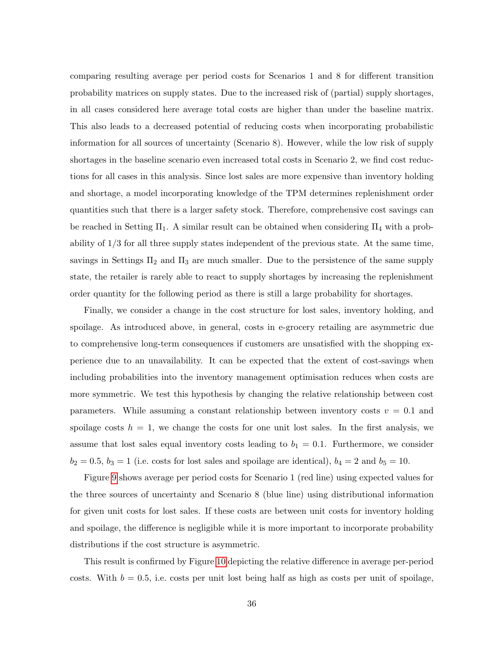comparing resulting average per period costs for Scenarios 1 and 8 for different transition probability matrices on supply states. Due to the increased risk of (partial) supply shortages, in all cases considered here average total costs are higher than under the baseline matrix. This also leads to a decreased potential of reducing costs when incorporating probabilistic information for all sources of uncertainty (Scenario 8). However, while the low risk of supply shortages in the baseline scenario even increased total costs in Scenario 2, we find cost reductions for all cases in this analysis. Since lost sales are more expensive than inventory holding and shortage, a model incorporating knowledge of the TPM determines replenishment order quantities such that there is a larger safety stock. Therefore, comprehensive cost savings can be reached in Setting  $\Pi_1$ . A similar result can be obtained when considering  $\Pi_4$  with a probability of 1/3 for all three supply states independent of the previous state. At the same time, savings in Settings  $\Pi_2$  and  $\Pi_3$  are much smaller. Due to the persistence of the same supply state, the retailer is rarely able to react to supply shortages by increasing the replenishment order quantity for the following period as there is still a large probability for shortages.

Finally, we consider a change in the cost structure for lost sales, inventory holding, and spoilage. As introduced above, in general, costs in e-grocery retailing are asymmetric due to comprehensive long-term consequences if customers are unsatisfied with the shopping experience due to an unavailability. It can be expected that the extent of cost-savings when including probabilities into the inventory management optimisation reduces when costs are more symmetric. We test this hypothesis by changing the relative relationship between cost parameters. While assuming a constant relationship between inventory costs  $v = 0.1$  and spoilage costs  $h = 1$ , we change the costs for one unit lost sales. In the first analysis, we assume that lost sales equal inventory costs leading to  $b_1 = 0.1$ . Furthermore, we consider  $b_2 = 0.5$ ,  $b_3 = 1$  (i.e. costs for lost sales and spoilage are identical),  $b_4 = 2$  and  $b_5 = 10$ .

Figure [9](#page-36-0) shows average per period costs for Scenario 1 (red line) using expected values for the three sources of uncertainty and Scenario 8 (blue line) using distributional information for given unit costs for lost sales. If these costs are between unit costs for inventory holding and spoilage, the difference is negligible while it is more important to incorporate probability distributions if the cost structure is asymmetric.

This result is confirmed by Figure [10](#page-36-1) depicting the relative difference in average per-period costs. With  $b = 0.5$ , i.e. costs per unit lost being half as high as costs per unit of spoilage,